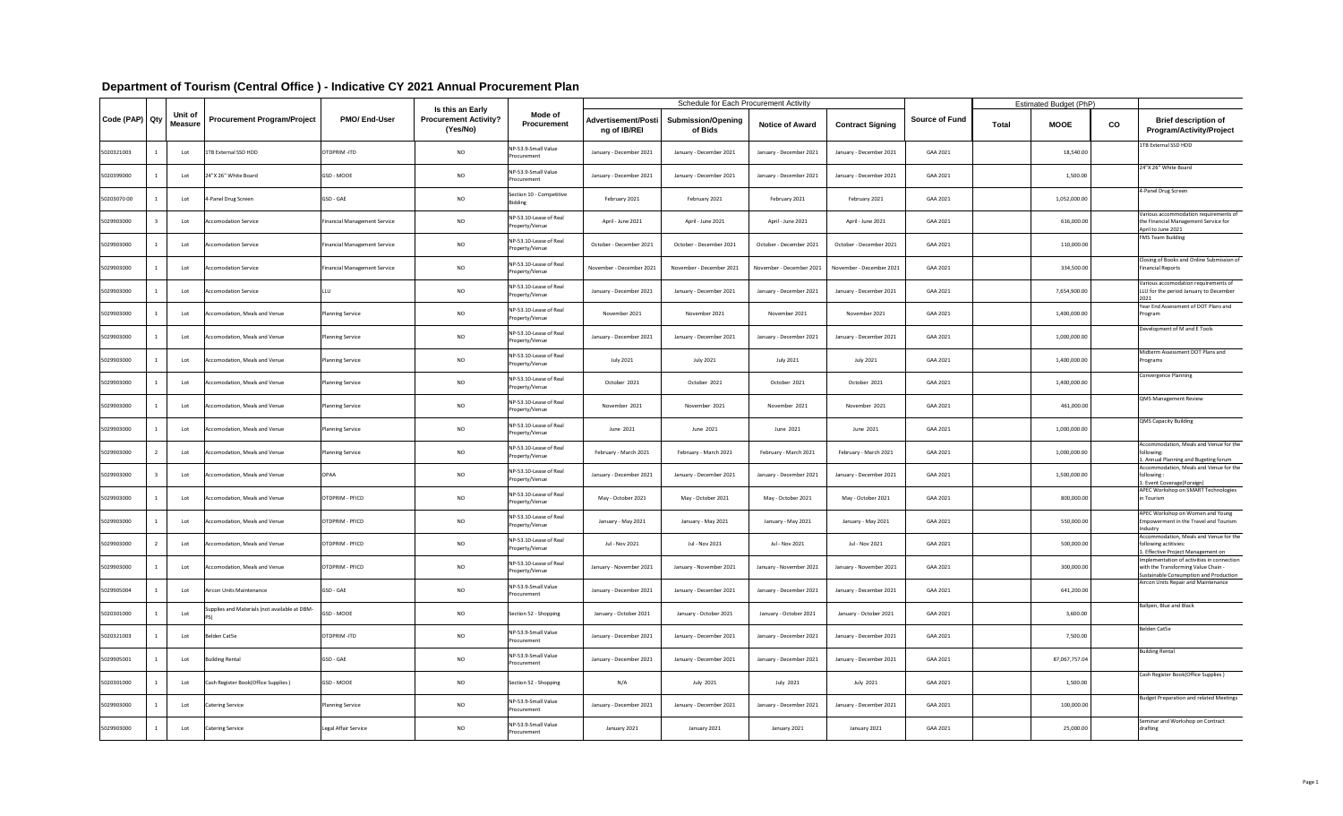|                |                           |                                               |                                     |                                                              |                                            |                                            | <b>Schedule for Each Procurement Activity</b> |                          |                          |                       |              | <b>Estimated Budget (PhP)</b> |    |                                                                                                                             |
|----------------|---------------------------|-----------------------------------------------|-------------------------------------|--------------------------------------------------------------|--------------------------------------------|--------------------------------------------|-----------------------------------------------|--------------------------|--------------------------|-----------------------|--------------|-------------------------------|----|-----------------------------------------------------------------------------------------------------------------------------|
| Code (PAP) Qty | Unit of<br><b>Measure</b> | <b>Procurement Program/Project</b>            | <b>PMO/End-User</b>                 | Is this an Early<br><b>Procurement Activity?</b><br>(Yes/No) | Mode of<br><b>Procurement</b>              | <b>Advertisement/Posti</b><br>ng of IB/REI | <b>Submission/Opening</b><br>of Bids          | <b>Notice of Award</b>   | <b>Contract Signing</b>  | <b>Source of Fund</b> | <b>Total</b> | <b>MOOE</b>                   | CO | <b>Brief description of</b><br><b>Program/Activity/Project</b>                                                              |
| 5020321003     | Lot                       | <b>1TB External SSD HDD</b>                   | OTDPRIM-ITD                         | <b>NO</b>                                                    | NP-53.9-Small Value<br>Procurement         | January - December 2021                    | January - December 2021                       | January - December 2021  | January - December 2021  | GAA 2021              |              | 18,540.00                     |    | 1TB External SSD HDD                                                                                                        |
| 5020399000     | Lot                       | 24"X 26" White Board                          | GSD - MOOE                          | <b>NO</b>                                                    | NP-53.9-Small Value<br>Procurement         | January - December 2021                    | January - December 2021                       | January - December 2021  | January - December 2021  | GAA 2021              |              | 1,500.00                      |    | 24"X 26" White Board                                                                                                        |
| 5020307000     | Lot                       | 4-Panel Drug Screen                           | GSD - GAE                           | <b>NO</b>                                                    | Section 10 - Competitive<br><b>Bidding</b> | February 2021                              | February 2021                                 | February 2021            | February 2021            | GAA 2021              |              | 1,052,000.00                  |    | 4-Panel Drug Screen                                                                                                         |
| 5029903000     | Lot                       | Accomodation Service                          | <b>Financial Management Service</b> | <b>NO</b>                                                    | NP-53.10-Lease of Real<br>Property/Venue   | April - June 2021                          | April - June 2021                             | April - June 2021        | April - June 2021        | GAA 2021              |              | 616,000.00                    |    | Various accommodation requirements of<br>the Financial Management Service for<br>April to June 2021                         |
| 5029903000     | Lot                       | Accomodation Service                          | <b>Financial Management Service</b> | <b>NO</b>                                                    | NP-53.10-Lease of Real<br>Property/Venue   | October - December 2021                    | October - December 2021                       | October - December 2021  | October - December 2021  | GAA 2021              |              | 110,000.00                    |    | <b>FMS Team Building</b>                                                                                                    |
| 5029903000     | Lot                       | Accomodation Service                          | Financial Management Service        | <b>NO</b>                                                    | NP-53.10-Lease of Real<br>Property/Venue   | November - December 2021                   | November - December 2021                      | November - December 2021 | November - December 2021 | GAA 2021              |              | 334,500.00                    |    | Closing of Books and Online Submission of<br><b>Financial Reports</b>                                                       |
| 5029903000     | Lot                       | Accomodation Service                          |                                     | <b>NO</b>                                                    | NP-53.10-Lease of Real<br>Property/Venue   | January - December 2021                    | January - December 2021                       | January - December 2021  | January - December 2021  | GAA 2021              |              | 7,654,900.00                  |    | Various accomodation requirements of<br>LLU for the period January to December<br>2021                                      |
| 5029903000     | Lot                       | Accomodation, Meals and Venue                 | <b>Planning Service</b>             | <b>NO</b>                                                    | NP-53.10-Lease of Real<br>Property/Venue   | November 2021                              | November 2021                                 | November 2021            | November 2021            | GAA 2021              |              | 1,400,000.00                  |    | Year End Assessment of DOT Plans and<br>Program                                                                             |
| 5029903000     | Lot                       | Accomodation, Meals and Venue                 | <b>Planning Service</b>             | <b>NO</b>                                                    | NP-53.10-Lease of Real<br>Property/Venue   | January - December 2021                    | January - December 2021                       | January - December 2021  | January - December 2021  | GAA 2021              |              | 1,000,000.00                  |    | Development of M and E Tools                                                                                                |
| 5029903000     | Lot                       | Accomodation, Meals and Venue                 | <b>Planning Service</b>             | <b>NO</b>                                                    | NP-53.10-Lease of Real<br>Property/Venue   | July 2021                                  | <b>July 2021</b>                              | <b>July 2021</b>         | <b>July 2021</b>         | GAA 2021              |              | 1,400,000.00                  |    | Midterm Assessment DOT Plans and<br>Programs                                                                                |
| 5029903000     | Lot                       | Accomodation, Meals and Venue                 | <b>Planning Service</b>             | <b>NO</b>                                                    | NP-53.10-Lease of Real<br>Property/Venue   | October 2021                               | October 2021                                  | October 2021             | October 2021             | GAA 2021              |              | 1,400,000.00                  |    | Convergence Planning                                                                                                        |
| 5029903000     | Lot                       | Accomodation, Meals and Venue                 | <b>Planning Service</b>             | <b>NO</b>                                                    | NP-53.10-Lease of Real<br>Property/Venue   | November 2021                              | November 2021                                 | November 2021            | November 2021            | GAA 2021              |              | 461,000.00                    |    | <b>QMS Management Review</b>                                                                                                |
| 5029903000     | Lot                       | Accomodation, Meals and Venue                 | <b>Planning Service</b>             | <b>NO</b>                                                    | NP-53.10-Lease of Real<br>Property/Venue   | June 2021                                  | June 2021                                     | June 2021                | June 2021                | GAA 2021              |              | 1,000,000.00                  |    | <b>QMS Capacity Building</b>                                                                                                |
| 5029903000     | Lot                       | Accomodation, Meals and Venue                 | <b>Planning Service</b>             | <b>NO</b>                                                    | NP-53.10-Lease of Real<br>Property/Venue   | February - March 2021                      | February - March 2021                         | February - March 2021    | February - March 2021    | GAA 2021              |              | 1,000,000.00                  |    | Accommodation, Meals and Venue for the<br>following:<br>Annual Planning and Bugeting forum                                  |
| 5029903000     | Lot                       | Accomodation, Meals and Venue                 | <b>OPAA</b>                         | <b>NO</b>                                                    | NP-53.10-Lease of Real<br>Property/Venue   | January - December 2021                    | January - December 2021                       | January - December 2021  | January - December 2021  | GAA 2021              |              | 1,500,000.00                  |    | Accommodation, Meals and Venue for the<br>following<br>Event Coverage(Foreign)                                              |
| 5029903000     | Lot                       | Accomodation, Meals and Venue                 | OTDPRIM - PFICD                     | <b>NO</b>                                                    | NP-53.10-Lease of Real<br>Property/Venue   | May - October 2021                         | May - October 2021                            | May - October 2021       | May - October 2021       | GAA 2021              |              | 800,000.00                    |    | APEC Workshop on SMART Technologies<br>in Tourism                                                                           |
| 5029903000     | Lot                       | Accomodation, Meals and Venue                 | OTDPRIM - PFICD                     | <b>NO</b>                                                    | NP-53.10-Lease of Real<br>Property/Venue   | January - May 2021                         | January - May 2021                            | January - May 2021       | January - May 2021       | GAA 2021              |              | 550,000.00                    |    | APEC Workshop on Women and Young<br>Empowerment in the Travel and Tourism<br>Industrv                                       |
| 5029903000     | Lot                       | Accomodation, Meals and Venue                 | OTDPRIM - PFICD                     | <b>NO</b>                                                    | NP-53.10-Lease of Real<br>Property/Venue   | Jul - Nov 2021                             | Jul - Nov 2021                                | Jul - Nov 2021           | Jul - Nov 2021           | GAA 2021              |              | 500,000.00                    |    | Accommodation, Meals and Venue for the<br>following actitivies:<br>1. Effective Project Management on                       |
| 5029903000     | Lot                       | Accomodation, Meals and Venue                 | OTDPRIM - PFICD                     | $NO$                                                         | NP-53.10-Lease of Real<br>Property/Venue   | January - November 2021                    | January - November 2021                       | January - November 2021  | January - November 2021  | GAA 2021              |              | 300,000.00                    |    | Implementation of activities in connection<br>with the Transforming Value Chain -<br>Sustainable Consumption and Production |
| 5029905004     | Lot                       | Aircon Units Maintenance                      | GSD - GAE                           | <b>NO</b>                                                    | NP-53.9-Small Value<br>Procurement         | January - December 2021                    | January - December 2021                       | January - December 2021  | January - December 2021  | GAA 2021              |              | 641,200.00                    |    | Aircon Units Repair and Maintenance                                                                                         |
| 5020301000     | Lot                       | Supplies and Materials (not available at DBM- | GSD - MOOE                          | <b>NO</b>                                                    | Section 52 - Shopping                      | January - October 2021                     | January - October 2021                        | January - October 2021   | January - October 2021   | GAA 2021              |              | 3,600.00                      |    | Ballpen, Blue and Black                                                                                                     |
| 5020321003     | Lot                       | Belden Cat5e                                  | OTDPRIM-ITD                         | <b>NO</b>                                                    | NP-53.9-Small Value<br>Procurement         | January - December 2021                    | January - December 2021                       | January - December 2021  | January - December 2021  | GAA 2021              |              | 7,500.00                      |    | Belden Cat5e                                                                                                                |
| 5029905001     | Lot                       | <b>Building Rental</b>                        | GSD - GAE                           | <b>NO</b>                                                    | NP-53.9-Small Value<br>Procurement         | January - December 2021                    | January - December 2021                       | January - December 2021  | January - December 2021  | GAA 2021              |              | 87,067,757.04                 |    | <b>Building Rental</b>                                                                                                      |
| 5020301000     | Lot                       | Cash Register Book(Office Supplies)           | <b>GSD - MOOE</b>                   | <b>NO</b>                                                    | Section 52 - Shopping                      | N/A                                        | July 2021                                     | July 2021                | July 2021                | GAA 2021              |              | 1,500.00                      |    | Cash Register Book(Office Supplies)                                                                                         |
| 5029903000     | Lot                       | <b>Catering Service</b>                       | <b>Planning Service</b>             | <b>NO</b>                                                    | NP-53.9-Small Value<br>Procurement         | January - December 2021                    | January - December 2021                       | January - December 2021  | January - December 2021  | GAA 2021              |              | 100,000.00                    |    | <b>Budget Preparation and related Meetings</b>                                                                              |
| 5029903000     | Lot                       | <b>Catering Service</b>                       | Legal Affair Service                | <b>NO</b>                                                    | NP-53.9-Small Value<br>Procurement         | January 2021                               | January 2021                                  | January 2021             | January 2021             | GAA 2021              |              | 25,000.00                     |    | Seminar and Workshop on Contract<br>drafting                                                                                |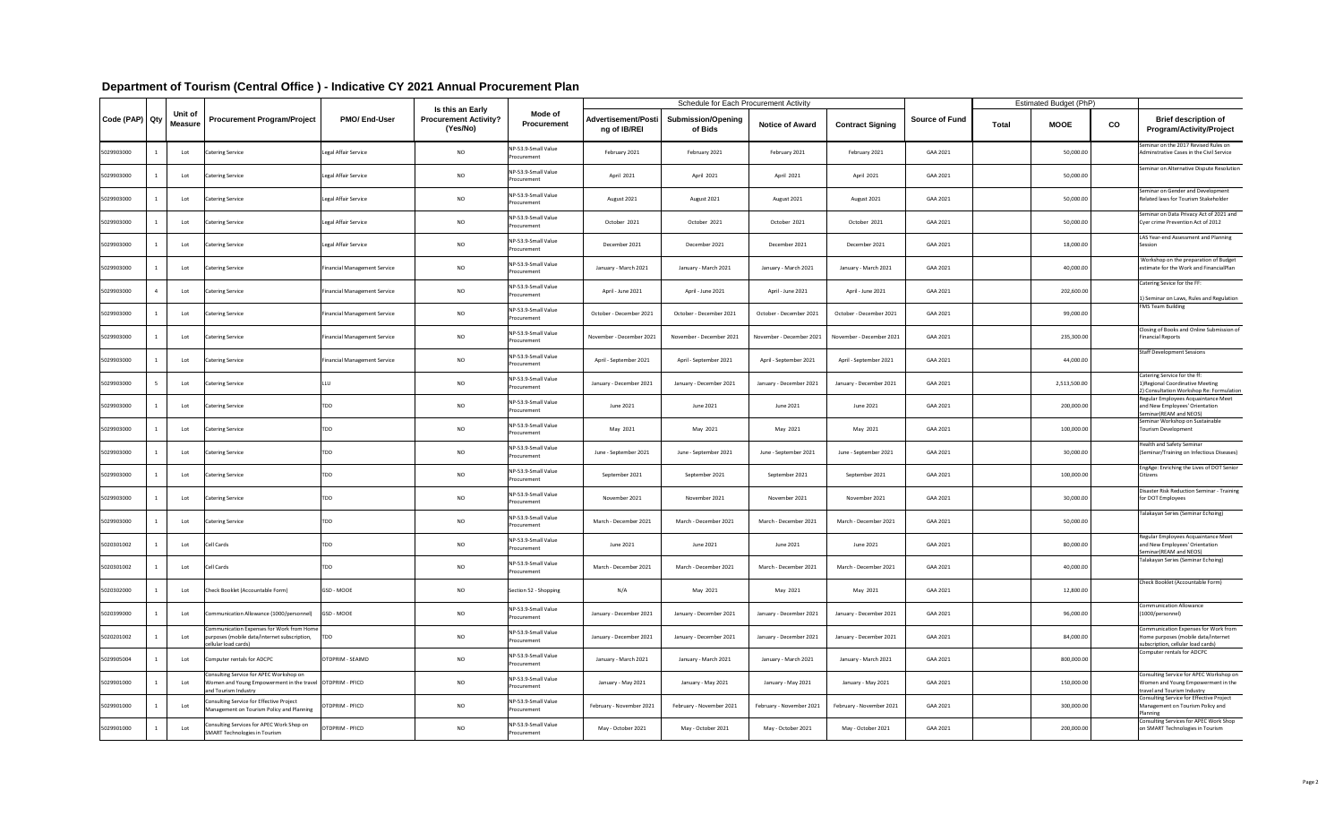|                |                                  |                                                                                                                              |                                     |                                                                     |                                    |                                            | <b>Schedule for Each Procurement Activity</b> |                          |                          |                       |              | <b>Estimated Budget (PhP)</b> |    |                                                                                                                          |
|----------------|----------------------------------|------------------------------------------------------------------------------------------------------------------------------|-------------------------------------|---------------------------------------------------------------------|------------------------------------|--------------------------------------------|-----------------------------------------------|--------------------------|--------------------------|-----------------------|--------------|-------------------------------|----|--------------------------------------------------------------------------------------------------------------------------|
| Code (PAP) Qty | <b>Unit of</b><br><b>Measure</b> | <b>Procurement Program/Project</b>                                                                                           | <b>PMO/End-User</b>                 | <b>Is this an Early</b><br><b>Procurement Activity?</b><br>(Yes/No) | Mode of<br><b>Procurement</b>      | <b>Advertisement/Posti</b><br>ng of IB/REI | <b>Submission/Opening</b><br>of Bids          | <b>Notice of Award</b>   | <b>Contract Signing</b>  | <b>Source of Fund</b> | <b>Total</b> | <b>MOOE</b>                   | co | <b>Brief description of</b><br><b>Program/Activity/Project</b>                                                           |
| 5029903000     | Lot                              | <b>Catering Service</b>                                                                                                      | Legal Affair Service                | <b>NO</b>                                                           | NP-53.9-Small Value<br>Procurement | February 2021                              | February 2021                                 | February 2021            | February 2021            | GAA 2021              |              | 50,000.00                     |    | Seminar on the 2017 Revised Rules on<br>Adminstrative Cases in the Civil Service                                         |
| 5029903000     | Lot                              | Catering Service                                                                                                             | Legal Affair Service                | <b>NO</b>                                                           | NP-53.9-Small Value<br>Procurement | April 2021                                 | April 2021                                    | April 2021               | April 2021               | GAA 2021              |              | 50,000.00                     |    | Seminar on Alternative Dispute Resolution                                                                                |
| 5029903000     | Lot                              | <b>Catering Service</b>                                                                                                      | Legal Affair Service                | <b>NO</b>                                                           | NP-53.9-Small Value<br>Procurement | August 2021                                | August 2021                                   | August 2021              | August 2021              | GAA 2021              |              | 50,000.00                     |    | Seminar on Gender and Development<br>Related laws for Tourism Stakeholder                                                |
| 5029903000     | Lot                              | <b>Catering Service</b>                                                                                                      | Legal Affair Service                | <b>NO</b>                                                           | NP-53.9-Small Value<br>Procurement | October 2021                               | October 2021                                  | October 2021             | October 2021             | GAA 2021              |              | 50,000.00                     |    | Seminar on Data Privacy Act of 2021 and<br>Cyer crime Prevention Act of 2012                                             |
| 5029903000     | Lot                              | Catering Service                                                                                                             | Legal Affair Service                | <b>NO</b>                                                           | NP-53.9-Small Value<br>Procurement | December 2021                              | December 2021                                 | December 2021            | December 2021            | GAA 2021              |              | 18,000.00                     |    | LAS Year-end Assessment and Planning<br>Session                                                                          |
| 5029903000     | Lot                              | <b>Catering Service</b>                                                                                                      | <b>Financial Management Service</b> | <b>NO</b>                                                           | NP-53.9-Small Value<br>Procurement | January - March 2021                       | January - March 2021                          | January - March 2021     | January - March 2021     | GAA 2021              |              | 40,000.00                     |    | Workshop on the preparation of Budget<br>estimate for the Work and FinancialPlan                                         |
| 5029903000     | Lot                              | <b>Catering Service</b>                                                                                                      | <b>Financial Management Service</b> | <b>NO</b>                                                           | NP-53.9-Small Value<br>Procurement | April - June 2021                          | April - June 2021                             | April - June 2021        | April - June 2021        | GAA 2021              |              | 202,600.00                    |    | Catering Sevice for the FF:<br>1) Seminar on Laws, Rules and Regulation                                                  |
| 5029903000     | Lot                              | <b>Catering Service</b>                                                                                                      | <b>Financial Management Service</b> | <b>NO</b>                                                           | NP-53.9-Small Value<br>Procurement | October - December 2021                    | October - December 2021                       | October - December 2021  | October - December 2021  | GAA 2021              |              | 99,000.00                     |    | <b>FMS Team Building</b>                                                                                                 |
| 5029903000     | Lot                              | Catering Service                                                                                                             | <b>Financial Management Service</b> | <b>NO</b>                                                           | NP-53.9-Small Value<br>Procurement | November - December 2021                   | November - December 2021                      | November - December 2021 | November - December 2021 | GAA 2021              |              | 235,300.00                    |    | Closing of Books and Online Submission of<br><b>Financial Reports</b>                                                    |
| 5029903000     | Lot                              | <b>Catering Service</b>                                                                                                      | <b>Financial Management Service</b> | <b>NO</b>                                                           | NP-53.9-Small Value<br>Procurement | April - September 2021                     | April - September 2021                        | April - September 2021   | April - September 2021   | GAA 2021              |              | 44,000.00                     |    | <b>Staff Development Sessions</b>                                                                                        |
| 5029903000     | Lot                              | Catering Service                                                                                                             |                                     | <b>NO</b>                                                           | NP-53.9-Small Value<br>Procurement | January - December 2021                    | January - December 2021                       | January - December 202:  | January - December 2021  | GAA 2021              |              | 2,513,500.00                  |    | Catering Service for the ff:<br>1) Regional Coordinative Meeting<br>2) Consultation Workshop Re: Formulation             |
| 5029903000     | Lot                              | <b>Catering Service</b>                                                                                                      | <b>FDD</b>                          | <b>NO</b>                                                           | NP-53.9-Small Value<br>Procurement | June 2021                                  | June 2021                                     | June 2021                | June 2021                | GAA 2021              |              | 200,000.00                    |    | Regular Employees Acquaintance Meet<br>and New Employees' Orientation<br>Seminar(REAM and NEOS)                          |
| 5029903000     | Lot                              | Catering Service                                                                                                             |                                     | <b>NO</b>                                                           | NP-53.9-Small Value<br>Procurement | May 2021                                   | May 2021                                      | May 2021                 | May 2021                 | GAA 2021              |              | 100,000.00                    |    | Seminar Workshop on Sustainable<br><b>Tourism Development</b>                                                            |
| 5029903000     | Lot                              | Catering Service                                                                                                             | <b>FDD</b>                          | <b>NO</b>                                                           | NP-53.9-Small Value<br>Procurement | June - September 2021                      | June - September 2021                         | June - September 2021    | June - September 2021    | GAA 2021              |              | 30,000.00                     |    | Health and Safety Seminar<br>(Seminar/Training on Infectious Diseases)                                                   |
| 5029903000     | Lot                              | <b>Catering Service</b>                                                                                                      | <b>FDD</b>                          | <b>NO</b>                                                           | NP-53.9-Small Value<br>Procurement | September 2021                             | September 2021                                | September 2021           | September 2021           | GAA 2021              |              | 100,000.00                    |    | EngAge: Enriching the Lives of DOT Senior<br><b>Citizens</b>                                                             |
| 5029903000     | Lot                              | Catering Service                                                                                                             | <b>FDD</b>                          | <b>NO</b>                                                           | NP-53.9-Small Value<br>Procurement | November 2021                              | November 2021                                 | November 2021            | November 2021            | GAA 2021              |              | 30,000.00                     |    | <b>Disaster Risk Reduction Seminar - Training</b><br>for DOT Employees                                                   |
| 5029903000     | Lot                              | <b>Catering Service</b>                                                                                                      | TDD                                 | <b>NO</b>                                                           | NP-53.9-Small Value<br>Procurement | March - December 2021                      | March - December 2021                         | March - December 2021    | March - December 2021    | GAA 2021              |              | 50,000.00                     |    | Talakayan Series (Seminar Echoing)                                                                                       |
| 5020301002     | Lot                              | Cell Cards                                                                                                                   | rdd                                 | <b>NO</b>                                                           | NP-53.9-Small Value<br>Procurement | June 2021                                  | June 2021                                     | June 2021                | June 2021                | GAA 2021              |              | 80,000.00                     |    | Regular Employees Acquaintance Meet<br>and New Employees' Orientation<br>Seminar (REAM and NEOS)                         |
| 5020301002     | Lot                              | Cell Cards                                                                                                                   |                                     | <b>NO</b>                                                           | NP-53.9-Small Value<br>Procurement | March - December 2021                      | March - December 2021                         | March - December 2021    | March - December 2021    | GAA 2021              |              | 40,000.00                     |    | Talakayan Series (Seminar Echoing)                                                                                       |
| 5020302000     | Lot                              | Check Booklet (Accountable Form)                                                                                             | GSD - MOOE                          | <b>NO</b>                                                           | Section 52 - Shopping              | N/A                                        | May 2021                                      | May 2021                 | May 2021                 | GAA 2021              |              | 12,800.00                     |    | Check Booklet (Accountable Form)                                                                                         |
| 5020399000     | Lot                              | Communication Allowance (1000/personnel)                                                                                     | GSD - MOOE                          | <b>NO</b>                                                           | NP-53.9-Small Value<br>Procurement | January - December 2021                    | January - December 2021                       | January - December 2021  | January - December 2021  | GAA 2021              |              | 96,000.00                     |    | <b>Communication Allowance</b><br>(1000/personnel)                                                                       |
| 5020201002     | Lot                              | Communication Expenses for Work from Home<br>purposes (mobile data/internet subscription,<br>cellular load cards)            | <b>TDD</b>                          | <b>NO</b>                                                           | NP-53.9-Small Value<br>Procurement | January - December 2021                    | January - December 2021                       | January - December 2021  | January - December 2021  | GAA 2021              |              | 84,000.00                     |    | <b>Communication Expenses for Work from</b><br>Home purposes (mobile data/internet<br>subscription, cellular load cards) |
| 5029905004     | Lot                              | Computer rentals for ADCPC                                                                                                   | <b>OTDPRIM - SEAIMD</b>             | <b>NO</b>                                                           | NP-53.9-Small Value<br>Procurement | January - March 2021                       | January - March 2021                          | January - March 2021     | January - March 2021     | GAA 2021              |              | 800,000.00                    |    | Computer rentals for ADCPC                                                                                               |
| 5029901000     | Lot                              | Consulting Service for APEC Workshop on<br>Women and Young Empowerment in the travel OTDPRIM - PFICD<br>and Tourism Industry |                                     | <b>NO</b>                                                           | NP-53.9-Small Value<br>Procurement | January - May 2021                         | January - May 2021                            | January - May 2021       | January - May 2021       | GAA 2021              |              | 150,000.00                    |    | Consulting Service for APEC Workshop on<br>Women and Young Empowerment in the<br>travel and Tourism Industry             |
| 5029901000     | Lot                              | Consulting Service for Effective Project<br>Management on Tourism Policy and Planning                                        | OTDPRIM - PFICD                     | <b>NO</b>                                                           | NP-53.9-Small Value<br>Procurement | February - November 2021                   | February - November 2021                      | February - November 2021 | February - November 2021 | GAA 2021              |              | 300,000.00                    |    | Consulting Service for Effective Project<br>Management on Tourism Policy and<br>Planning                                 |
| 5029901000     | Lot                              | Consulting Services for APEC Work Shop on<br>SMART Technologies in Tourism                                                   | OTDPRIM - PFICD                     | <b>NO</b>                                                           | NP-53.9-Small Value<br>Procurement | May - October 2021                         | May - October 2021                            | May - October 2021       | May - October 2021       | GAA 2021              |              | 200,000.00                    |    | Consulting Services for APEC Work Shop<br>on SMART Technologies in Tourism                                               |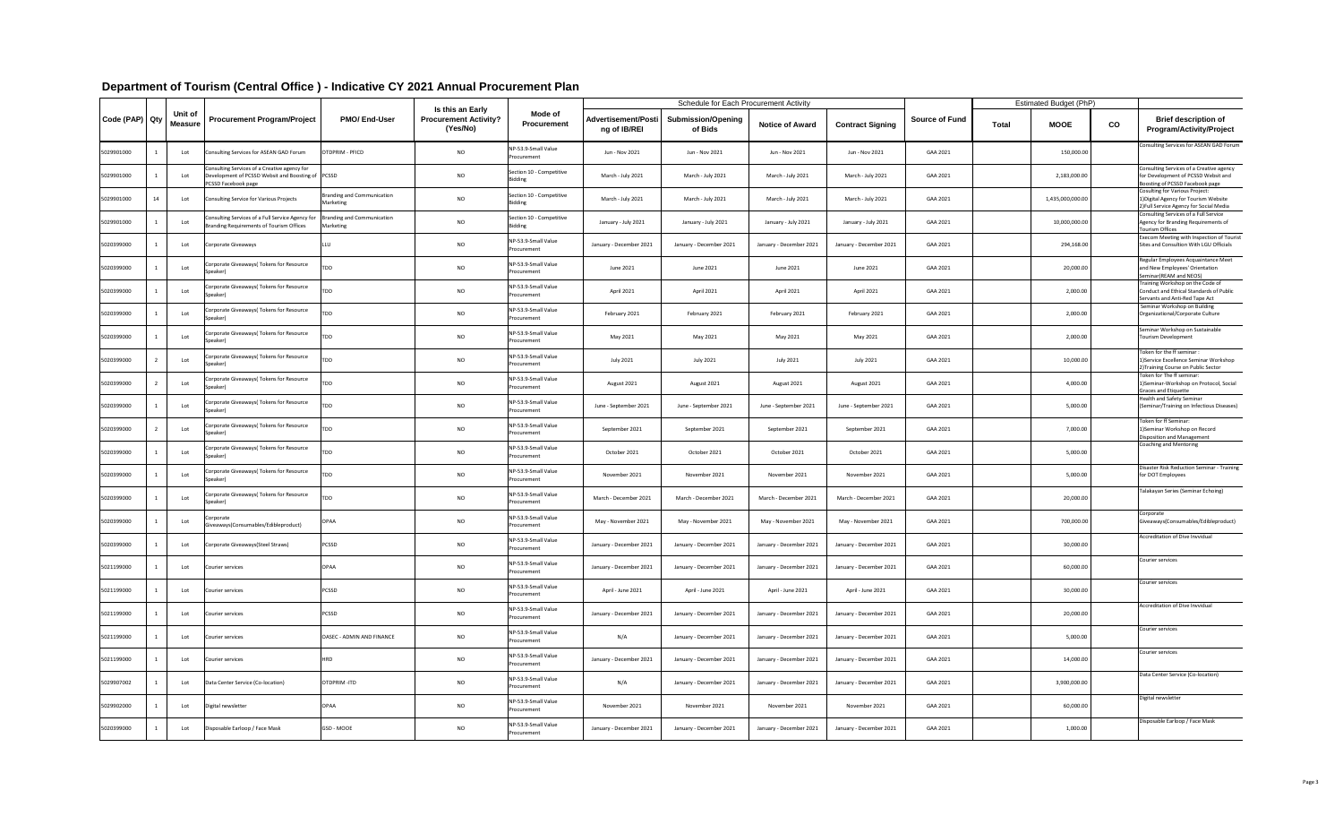|                |    |                           |                                                                                                                          |                                         |                                                              |                                            |                                     | <b>Schedule for Each Procurement Activity</b> |                         |                         |                       |              | <b>Estimated Budget (PhP)</b> |               |                                                                                                                    |
|----------------|----|---------------------------|--------------------------------------------------------------------------------------------------------------------------|-----------------------------------------|--------------------------------------------------------------|--------------------------------------------|-------------------------------------|-----------------------------------------------|-------------------------|-------------------------|-----------------------|--------------|-------------------------------|---------------|--------------------------------------------------------------------------------------------------------------------|
| Code (PAP) Qty |    | Unit of<br><b>Measure</b> | <b>Procurement Program/Project</b>                                                                                       | <b>PMO/End-User</b>                     | Is this an Early<br><b>Procurement Activity?</b><br>(Yes/No) | <b>Mode of</b><br><b>Procurement</b>       | Advertisement/Posti<br>ng of IB/REI | <b>Submission/Opening</b><br>of Bids          | <b>Notice of Award</b>  | <b>Contract Signing</b> | <b>Source of Fund</b> | <b>Total</b> | <b>MOOE</b>                   | $\mathbf{CO}$ | <b>Brief description of</b><br><b>Program/Activity/Project</b>                                                     |
| 5029901000     |    | Lot                       | Consulting Services for ASEAN GAD Forum                                                                                  | OTDPRIM - PFICD                         | <b>NO</b>                                                    | NP-53.9-Small Value<br>Procurement         | Jun - Nov 2021                      | Jun - Nov 2021                                | Jun - Nov 2021          | Jun - Nov 2021          | GAA 2021              |              | 150,000.00                    |               | Consulting Services for ASEAN GAD Forum                                                                            |
| 5029901000     |    | Lot                       | Consulting Services of a Creative agency for<br>Development of PCSSD Websit and Boosting of PCSSD<br>PCSSD Facebook page |                                         | <b>NO</b>                                                    | Section 10 - Competitive<br>3idding        | March - July 2021                   | March - July 2021                             | March - July 2021       | March - July 2021       | GAA 2021              |              | 2,183,000.00                  |               | Consulting Services of a Creative agency<br>for Development of PCSSD Websit and<br>Boosting of PCSSD Facebook page |
| 5029901000     | 14 | Lot                       | Consulting Service for Various Projects                                                                                  | Branding and Communication<br>Marketing | <b>NO</b>                                                    | Section 10 - Competitive<br><b>Bidding</b> | March - July 2021                   | March - July 2021                             | March - July 2021       | March - July 2021       | GAA 2021              |              | 1,435,000,000.00              |               | Cosulting for Various Project:<br>1) Digital Agency for Tourism Website<br>2) Full Service Agency for Social Media |
| 5029901000     |    | Lot                       | Consulting Services of a Full Service Agency for<br>Branding Requirements of Tourism Offices                             | Branding and Communication<br>Marketing | <b>NO</b>                                                    | Section 10 - Competitive<br><b>Bidding</b> | January - July 2021                 | January - July 2021                           | January - July 2021     | January - July 2021     | GAA 2021              |              | 10,000,000.00                 |               | Consulting Services of a Full Service<br>Agency for Branding Requirements of<br><b>Tourism Offices</b>             |
| 5020399000     |    | Lot                       | Corporate Giveaways                                                                                                      | ILLU                                    | <b>NO</b>                                                    | NP-53.9-Small Value<br>Procurement         | January - December 2021             | January - December 2021                       | January - December 2021 | January - December 2021 | GAA 2021              |              | 294,168.00                    |               | Execom Meeting with Inspection of Tourist<br>Sites and Consultion With LGU Officials                               |
| 5020399000     |    | Lot                       | Corporate Giveaways (Tokens for Resource<br>Speaker)                                                                     |                                         | <b>NO</b>                                                    | NP-53.9-Small Value<br>Procurement         | June 2021                           | June 2021                                     | June 2021               | June 2021               | GAA 2021              |              | 20,000.00                     |               | Regular Employees Acquaintance Meet<br>and New Employees' Orientation<br>Seminar (REAM and NEOS)                   |
| 5020399000     |    | Lot                       | Corporate Giveaways (Tokens for Resource<br>Speaker                                                                      | TDD                                     | <b>NO</b>                                                    | NP-53.9-Small Value<br>Procurement         | April 2021                          | April 2021                                    | April 2021              | April 2021              | GAA 2021              |              | 2,000.00                      |               | Training Workshop on the Code of<br>Conduct and Ethical Standards of Public<br>Servants and Anti-Red Tape Act      |
| 5020399000     |    | Lot                       | Corporate Giveaways (Tokens for Resource<br>Speaker)                                                                     | TDD                                     | <b>NO</b>                                                    | NP-53.9-Small Value<br>Procurement         | February 2021                       | February 2021                                 | February 2021           | February 2021           | GAA 2021              |              | 2,000.00                      |               | Seminar Workshop on Building<br>Organizational/Corporate Culture                                                   |
| 5020399000     |    | Lot                       | Corporate Giveaways(Tokens for Resource<br>Speaker)                                                                      |                                         | <b>NO</b>                                                    | NP-53.9-Small Value<br>Procurement         | May 2021                            | May 2021                                      | May 2021                | May 2021                | GAA 2021              |              | 2,000.00                      |               | Seminar Workshop on Sustainable<br>Tourism Development                                                             |
| 5020399000     |    | Lot                       | Corporate Giveaways(Tokens for Resource<br>Speaker)                                                                      | TDD                                     | <b>NO</b>                                                    | NP-53.9-Small Value<br>Procurement         | <b>July 2021</b>                    | <b>July 2021</b>                              | July 2021               | July 2021               | GAA 2021              |              | 10,000.00                     |               | Token for the ff seminar :<br>1) Service Excellence Seminar Workshop<br>2) Training Course on Public Sector        |
| 5020399000     |    | Lot                       | Corporate Giveaways(Tokens for Resource<br>Speaker)                                                                      |                                         | <b>NO</b>                                                    | NP-53.9-Small Value<br>Procurement         | August 2021                         | August 2021                                   | August 2021             | August 2021             | GAA 2021              |              | 4,000.00                      |               | Token for The ff seminar:<br>1)Seminar-Workshop on Protocol, Social<br><b>Graces and Etiquette</b>                 |
| 5020399000     |    | Lot                       | Corporate Giveaways (Tokens for Resource<br>Speaker)                                                                     | TDD.                                    | <b>NO</b>                                                    | NP-53.9-Small Value<br>Procurement         | June - September 2021               | June - September 2021                         | June - September 2021   | June - September 2021   | GAA 2021              |              | 5,000.00                      |               | <b>Health and Safety Seminar</b><br>(Seminar/Training on Infectious Diseases)                                      |
| 5020399000     |    | Lot                       | Corporate Giveaways(Tokens for Resource<br>Speaker)                                                                      | TDD                                     | <b>NO</b>                                                    | NP-53.9-Small Value<br>Procurement         | September 2021                      | September 2021                                | September 2021          | September 2021          | GAA 2021              |              | 7,000.00                      |               | Token for ff Seminar:<br>1) Seminar Workshop on Record<br><b>Disposition and Management</b>                        |
| 5020399000     |    | Lot                       | Corporate Giveaways(Tokens for Resource<br>Speaker)                                                                      | TDD.                                    | <b>NO</b>                                                    | NP-53.9-Small Value<br>Procurement         | October 2021                        | October 2021                                  | October 2021            | October 2021            | GAA 2021              |              | 5,000.00                      |               | Coaching and Mentoring                                                                                             |
| 5020399000     |    | Lot                       | Corporate Giveaways(Tokens for Resource<br>Speaker)                                                                      | TDD                                     | $NO$                                                         | NP-53.9-Small Value<br>Procurement         | November 2021                       | November 2021                                 | November 2021           | November 2021           | GAA 2021              |              | 5,000.00                      |               | Disaster Risk Reduction Seminar - Training<br>for DOT Employees                                                    |
| 5020399000     |    | Lot                       | Corporate Giveaways(Tokens for Resource<br>Speaker)                                                                      |                                         | <b>NO</b>                                                    | NP-53.9-Small Value<br>Procurement         | March - December 2021               | March - December 2021                         | March - December 2021   | March - December 2021   | GAA 2021              |              | 20,000.00                     |               | Talakayan Series (Seminar Echoing)                                                                                 |
| 5020399000     |    | Lot                       | Corporate<br>Giveaways(Consumables/Edibleproduct)                                                                        | <b>OPAA</b>                             | <b>NO</b>                                                    | NP-53.9-Small Value<br>Procurement         | May - November 2021                 | May - November 2021                           | May - November 2021     | May - November 2021     | GAA 2021              |              | 700,000.00                    |               | Corporate<br>Giveaways(Consumables/Edibleproduct)                                                                  |
| 5020399000     |    | Lot                       | Corporate Giveaways (Steel Straws)                                                                                       | <b>PCSSD</b>                            | <b>NO</b>                                                    | NP-53.9-Small Value<br>Procurement         | January - December 2021             | January - December 2021                       | January - December 2021 | January - December 2021 | GAA 2021              |              | 30,000.00                     |               | Accreditation of Dive Invvidual                                                                                    |
| 5021199000     |    | Lot                       | Courier services                                                                                                         | <b>OPAA</b>                             | <b>NO</b>                                                    | NP-53.9-Small Value<br>Procurement         | January - December 2021             | January - December 2021                       | January - December 2021 | January - December 2021 | GAA 2021              |              | 60,000.00                     |               | Courier services                                                                                                   |
| 5021199000     |    | Lot                       | Courier services                                                                                                         | PCSSD                                   | <b>NO</b>                                                    | NP-53.9-Small Value<br>Procurement         | April - June 2021                   | April - June 2021                             | April - June 2021       | April - June 2021       | GAA 2021              |              | 30,000.00                     |               | Courier services                                                                                                   |
| 5021199000     |    | Lot                       | Courier services                                                                                                         | PCSSD                                   | <b>NO</b>                                                    | NP-53.9-Small Value<br>Procurement         | January - December 2021             | January - December 2021                       | January - December 2021 | January - December 2021 | GAA 2021              |              | 20,000.00                     |               | Accreditation of Dive Invvidual                                                                                    |
| 5021199000     |    | Lot                       | Courier services                                                                                                         | <b>OASEC - ADMIN AND FINANCE</b>        | <b>NO</b>                                                    | NP-53.9-Small Value<br>Procurement         | N/A                                 | January - December 2021                       | January - December 2021 | January - December 2021 | GAA 2021              |              | 5,000.00                      |               | Courier services                                                                                                   |
| 5021199000     |    | Lot                       | Courier services                                                                                                         | <b>HRD</b>                              | <b>NO</b>                                                    | NP-53.9-Small Value<br>Procurement         | January - December 2021             | January - December 2021                       | January - December 2021 | January - December 2021 | GAA 2021              |              | 14,000.00                     |               | Courier services                                                                                                   |
| 5029907002     |    | Lot                       | Data Center Service (Co-location)                                                                                        | OTDPRIM-ITD                             | <b>NO</b>                                                    | NP-53.9-Small Value<br>Procurement         | N/A                                 | January - December 2021                       | January - December 2021 | January - December 2021 | GAA 2021              |              | 3,900,000.00                  |               | Data Center Service (Co-location)                                                                                  |
| 5029902000     |    | Lot                       | Digital newsletter                                                                                                       | <b>OPAA</b>                             | <b>NO</b>                                                    | NP-53.9-Small Value<br>Procurement         | November 2021                       | November 2021                                 | November 2021           | November 2021           | GAA 2021              |              | 60,000.00                     |               | Digital newsletter                                                                                                 |
| 5020399000     |    | Lot                       | Disposable Earloop / Face Mask                                                                                           | GSD - MOOE                              | <b>NO</b>                                                    | NP-53.9-Small Value<br>Procurement         | January - December 2021             | January - December 2021                       | January - December 2021 | January - December 2021 | GAA 2021              |              | 1,000.00                      |               | Disposable Earloop / Face Mask                                                                                     |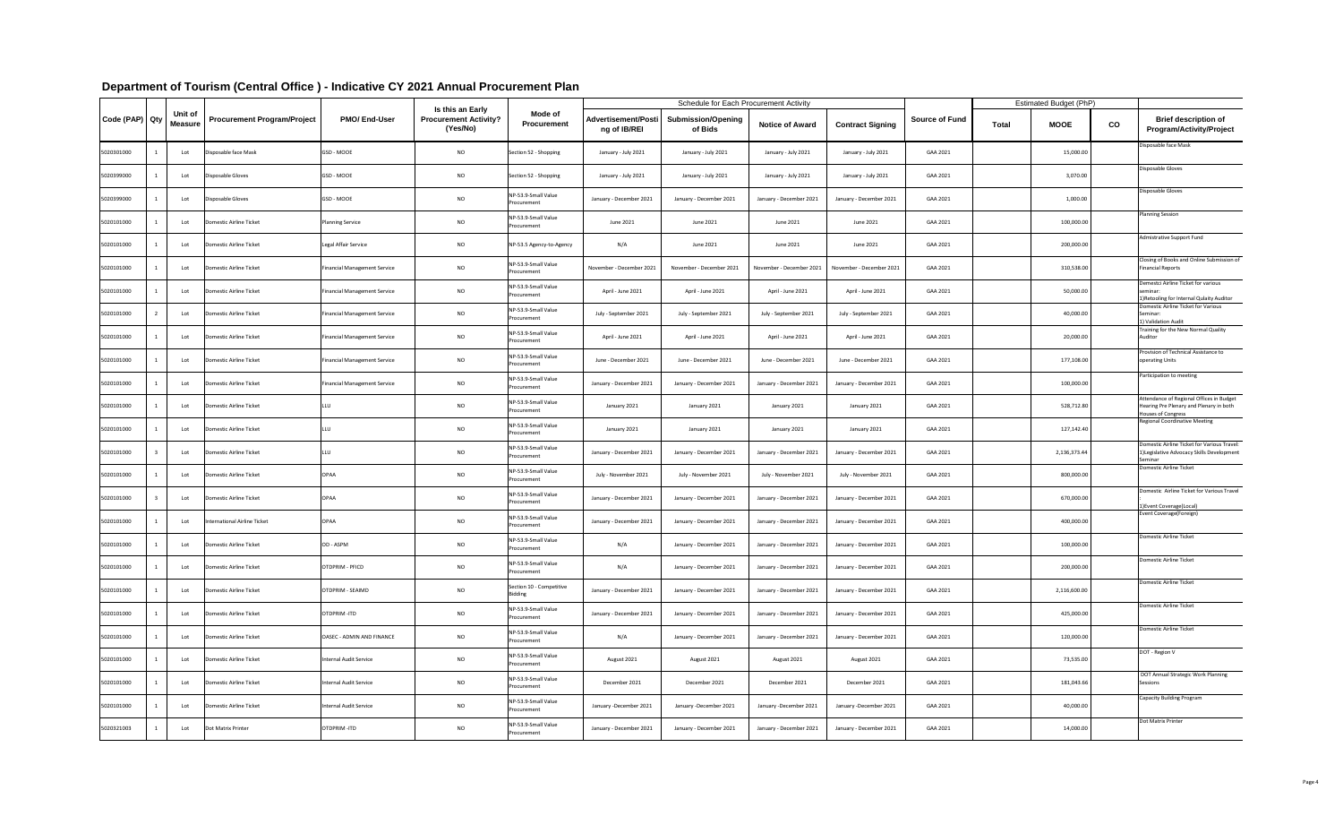|                             |                    |                              |                                     |                                                                     |                                            |                                            | <b>Schedule for Each Procurement Activity</b> |                          |                          |                       |              | <b>Estimated Budget (PhP)</b> |    |                                                                                                           |
|-----------------------------|--------------------|------------------------------|-------------------------------------|---------------------------------------------------------------------|--------------------------------------------|--------------------------------------------|-----------------------------------------------|--------------------------|--------------------------|-----------------------|--------------|-------------------------------|----|-----------------------------------------------------------------------------------------------------------|
| Code (PAP) Qty <sup> </sup> | Unit of<br>Measure | Procurement Program/Project  | <b>PMO/End-User</b>                 | <b>Is this an Early</b><br><b>Procurement Activity?</b><br>(Yes/No) | Mode of<br><b>Procurement</b>              | <b>Advertisement/Posti</b><br>ng of IB/REI | <b>Submission/Opening</b><br>of Bids          | <b>Notice of Award</b>   | <b>Contract Signing</b>  | <b>Source of Fund</b> | <b>Total</b> | <b>MOOE</b>                   | co | <b>Brief description of</b><br><b>Program/Activity/Project</b>                                            |
| 5020301000                  | Lot                | Disposable face Mask         | GSD - MOOE                          | <b>NO</b>                                                           | Section 52 - Shopping                      | January - July 2021                        | January - July 2021                           | January - July 2021      | January - July 2021      | GAA 2021              |              | 15,000.00                     |    | Disposable face Mask                                                                                      |
| 5020399000                  | Lot                | Disposable Gloves            | GSD - MOOE                          | <b>NO</b>                                                           | Section 52 - Shopping                      | January - July 2021                        | January - July 2021                           | January - July 2021      | January - July 2021      | GAA 2021              |              | 3,070.00                      |    | Disposable Gloves                                                                                         |
| 5020399000                  | Lot                | Disposable Gloves            | <b>GSD - MOOE</b>                   | <b>NO</b>                                                           | NP-53.9-Small Value<br>Procurement         | January - December 2021                    | January - December 2021                       | January - December 2021  | January - December 2021  | GAA 2021              |              | 1,000.00                      |    | Disposable Gloves                                                                                         |
| 5020101000                  | Lot                | Domestic Airline Ticket      | <b>Planning Service</b>             | <b>NO</b>                                                           | NP-53.9-Small Value<br>Procurement         | June 2021                                  | June 2021                                     | June 2021                | June 2021                | GAA 2021              |              | 100,000.00                    |    | <b>Planning Session</b>                                                                                   |
| 5020101000                  | Lot                | Domestic Airline Ticket      | Legal Affair Service                | <b>NO</b>                                                           | NP-53.5 Agency-to-Agency                   | N/A                                        | June 2021                                     | June 2021                | June 2021                | GAA 2021              |              | 200,000.00                    |    | Admistrative Support Fund                                                                                 |
| 5020101000                  | Lot                | Domestic Airline Ticket      | <b>Financial Management Service</b> | <b>NO</b>                                                           | NP-53.9-Small Value<br>Procurement         | November - December 2021                   | November - December 2021                      | November - December 2021 | November - December 2021 | GAA 2021              |              | 310,538.00                    |    | Closing of Books and Online Submission of<br><b>Financial Reports</b>                                     |
| 5020101000                  | Lot                | Domestic Airline Ticket      | <b>Financial Management Service</b> | <b>NO</b>                                                           | NP-53.9-Small Value<br>Procurement         | April - June 2021                          | April - June 2021                             | April - June 2021        | April - June 2021        | GAA 2021              |              | 50,000.00                     |    | Demestci Airline Ticket for various<br>seminar:<br>1) Retooling for Internal Qulaity Auditor              |
| 5020101000                  | Lot                | Domestic Airline Ticket      | <b>Financial Management Service</b> | <b>NO</b>                                                           | NP-53.9-Small Value<br>Procurement         | July - September 2021                      | July - September 2021                         | July - September 2021    | July - September 2021    | GAA 2021              |              | 40,000.00                     |    | Domestic Airline Ticket for Various<br>Seminar:<br>) Validation Audit                                     |
| 5020101000                  | Lot                | Domestic Airline Ticket      | <b>Financial Management Service</b> | <b>NO</b>                                                           | NP-53.9-Small Value<br>Procurement         | April - June 2021                          | April - June 2021                             | April - June 2021        | April - June 2021        | GAA 2021              |              | 20,000.00                     |    | Training for the New Normal Quality<br>Auditor                                                            |
| 5020101000                  | Lot                | Domestic Airline Ticket      | <b>Financial Management Service</b> | <b>NO</b>                                                           | NP-53.9-Small Value<br>Procurement         | June - December 2021                       | June - December 2021                          | June - December 2021     | June - December 2021     | GAA 2021              |              | 177,108.00                    |    | Provision of Technical Assistance to<br>operating Units                                                   |
| 5020101000                  | Lot                | Domestic Airline Ticket      | <b>Financial Management Service</b> | <b>NO</b>                                                           | NP-53.9-Small Value<br>Procurement         | January - December 2021                    | January - December 2021                       | January - December 2021  | January - December 2021  | GAA 2021              |              | 100,000.00                    |    | Participation to meeting                                                                                  |
| 5020101000                  | Lot                | Domestic Airline Ticket      |                                     | <b>NO</b>                                                           | NP-53.9-Small Value<br>Procurement         | January 2021                               | January 2021                                  | January 2021             | January 2021             | GAA 2021              |              | 528,712.80                    |    | Attendance of Regional Offices in Budget<br>Hearing Pre Plenary and Plenary in both<br>Houses of Congress |
| 5020101000                  | Lot                | Domestic Airline Ticket      |                                     | <b>NO</b>                                                           | NP-53.9-Small Value<br>Procurement         | January 2021                               | January 2021                                  | January 2021             | January 2021             | GAA 2021              |              | 127,142.40                    |    | <b>Regional Coordinative Meeting</b>                                                                      |
| 5020101000                  | Lot                | Domestic Airline Ticket      |                                     | <b>NO</b>                                                           | NP-53.9-Small Value<br>Procurement         | January - December 2021                    | January - December 2021                       | January - December 2021  | January - December 2021  | GAA 2021              |              | 2,136,373.44                  |    | Domestic Airline Ticket for Various Travel:<br>1) Legislative Advocacy Skills Development<br>Seminar      |
| 5020101000                  | Lot                | Domestic Airline Ticket      | <b>OPAA</b>                         | <b>NO</b>                                                           | NP-53.9-Small Value<br>Procurement         | July - November 2021                       | July - November 2021                          | July - November 2021     | July - November 2021     | GAA 2021              |              | 800,000.00                    |    | Domestic Airline Ticket                                                                                   |
| 5020101000                  | Lot                | Domestic Airline Ticket      | <b>OPAA</b>                         | <b>NO</b>                                                           | NP-53.9-Small Value<br>Procurement         | January - December 2021                    | January - December 2021                       | January - December 2021  | January - December 2021  | GAA 2021              |              | 670,000.00                    |    | Domestic Airline Ticket for Various Travel<br>1) Event Coverage (Local)                                   |
| 5020101000                  | Lot                | International Airline Ticket | <b>OPAA</b>                         | <b>NO</b>                                                           | NP-53.9-Small Value<br>Procurement         | January - December 2021                    | January - December 2021                       | January - December 2021  | January - December 2021  | GAA 2021              |              | 400,000.00                    |    | Event Coverage(Foreign)                                                                                   |
| 5020101000                  | Lot                | Domestic Airline Ticket      | OD - ASPM                           | <b>NO</b>                                                           | NP-53.9-Small Value<br>Procurement         | N/A                                        | January - December 2021                       | January - December 2021  | January - December 2021  | GAA 2021              |              | 100,000.00                    |    | Domestic Airline Ticket                                                                                   |
| 5020101000                  | Lot                | Domestic Airline Ticket      | OTDPRIM - PFICD                     | <b>NO</b>                                                           | NP-53.9-Small Value<br>Procurement         | N/A                                        | January - December 2021                       | January - December 2021  | January - December 2021  | GAA 2021              |              | 200,000.00                    |    | Domestic Airline Ticket                                                                                   |
| 5020101000                  | Lot                | Domestic Airline Ticket      | OTDPRIM - SEAIMD                    | <b>NO</b>                                                           | Section 10 - Competitive<br><b>Bidding</b> | January - December 2021                    | January - December 2021                       | January - December 2021  | January - December 2021  | GAA 2021              |              | 2,116,600.00                  |    | Domestic Airline Ticket                                                                                   |
| 5020101000                  | Lot                | Domestic Airline Ticket      | OTDPRIM-ITD                         | <b>NO</b>                                                           | NP-53.9-Small Value<br>Procurement         | January - December 2021                    | January - December 2021                       | January - December 2021  | January - December 2021  | GAA 2021              |              | 425,000.00                    |    | Domestic Airline Ticket                                                                                   |
| 5020101000                  | Lot                | Domestic Airline Ticket      | OASEC - ADMIN AND FINANCE           | <b>NO</b>                                                           | NP-53.9-Small Value<br>Procurement         | N/A                                        | January - December 2021                       | January - December 2021  | January - December 2021  | GAA 2021              |              | 120,000.00                    |    | Domestic Airline Ticket                                                                                   |
| 5020101000                  | Lot                | Domestic Airline Ticket      | Internal Audit Service              | <b>NO</b>                                                           | NP-53.9-Small Value<br>Procurement         | August 2021                                | August 2021                                   | August 2021              | August 2021              | GAA 2021              |              | 73,535.00                     |    | DOT - Region V                                                                                            |
| 5020101000                  | Lot                | Domestic Airline Ticket      | Internal Audit Service              | <b>NO</b>                                                           | NP-53.9-Small Value<br>Procurement         | December 2021                              | December 2021                                 | December 2021            | December 2021            | GAA 2021              |              | 181,043.66                    |    | DOT Annual Strategic Work Planning<br>Sessions                                                            |
| 5020101000                  | Lot                | Domestic Airline Ticket      | Internal Audit Service              | <b>NO</b>                                                           | NP-53.9-Small Value<br>Procurement         | January -December 2021                     | January -December 2021                        | January -December 2021   | January -December 2021   | GAA 2021              |              | 40,000.00                     |    | Capacity Building Program                                                                                 |
| 5020321003                  | Lot                | Dot Matrix Printer           | OTDPRIM-ITD                         | <b>NO</b>                                                           | NP-53.9-Small Value<br>Procurement         | January - December 2021                    | January - December 2021                       | January - December 2021  | January - December 2021  | GAA 2021              |              | 14,000.00                     |    | Dot Matrix Printer                                                                                        |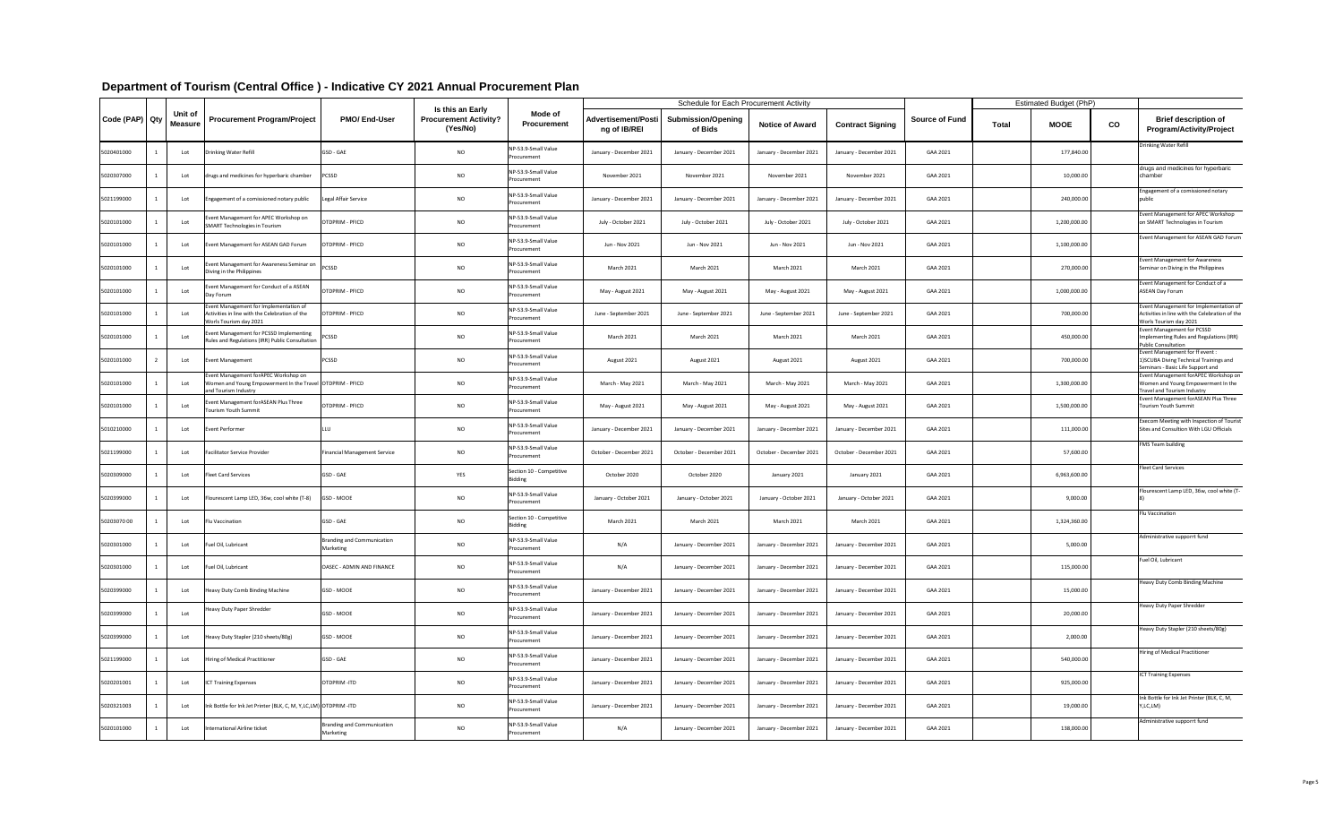| Code (PAP) Qty | Unit of<br>Measure | <b>Procurement Program/Project</b>                                                                                        | <b>PMO/End-User</b>                            | Is this an Early<br><b>Procurement Activity?</b><br>(Yes/No) | <b>Mode of</b><br><b>Procurement</b>       | <b>Advertisement/Post</b><br>ng of IB/REI | <b>Schedule for Each Procurement Activity</b><br><b>Submission/Opening</b><br>of Bids | <b>Notice of Award</b>  | <b>Contract Signing</b> | <b>Source of Fund</b> | <b>Total</b> | <b>Estimated Budget (PhP)</b><br><b>MOOE</b> | co | <b>Brief description of</b><br><b>Program/Activity/Project</b>                                                     |
|----------------|--------------------|---------------------------------------------------------------------------------------------------------------------------|------------------------------------------------|--------------------------------------------------------------|--------------------------------------------|-------------------------------------------|---------------------------------------------------------------------------------------|-------------------------|-------------------------|-----------------------|--------------|----------------------------------------------|----|--------------------------------------------------------------------------------------------------------------------|
| 5020401000     | Lot                | Drinking Water Refill                                                                                                     | GSD - GAE                                      | <b>NO</b>                                                    | NP-53.9-Small Value<br>Procurement         | January - December 2021                   | January - December 2021                                                               | January - December 2021 | January - December 2021 | GAA 2021              |              | 177,840.00                                   |    | Drinking Water Refill                                                                                              |
| 5020307000     | Lot                | drugs and medicines for hyperbaric chamber                                                                                | <b>PCSSD</b>                                   | <b>NO</b>                                                    | NP-53.9-Small Value<br>Procurement         | November 2021                             | November 2021                                                                         | November 2021           | November 2021           | GAA 2021              |              | 10,000.00                                    |    | drugs and medicines for hyperbaric<br>chamber                                                                      |
| 5021199000     | Lot                | Engagement of a comissioned notary public                                                                                 | Legal Affair Service                           | <b>NO</b>                                                    | NP-53.9-Small Value<br>Procurement         | January - December 2021                   | January - December 2021                                                               | January - December 2021 | January - December 2021 | GAA 2021              |              | 240,000.00                                   |    | Engagement of a comissioned notary<br>public                                                                       |
| 5020101000     | Lot                | Event Management for APEC Workshop on<br>SMART Technologies in Tourism                                                    | OTDPRIM - PFICD                                | <b>NO</b>                                                    | NP-53.9-Small Value<br>Procurement         | July - October 2021                       | July - October 2021                                                                   | July - October 2021     | July - October 2021     | GAA 2021              |              | 1,200,000.00                                 |    | Event Management for APEC Workshop<br>on SMART Technologies in Tourism                                             |
| 5020101000     | Lot                | Event Management for ASEAN GAD Forum                                                                                      | OTDPRIM - PFICD                                | <b>NO</b>                                                    | NP-53.9-Small Value<br>Procurement         | Jun - Nov 2021                            | Jun - Nov 2021                                                                        | Jun - Nov 2021          | Jun - Nov 2021          | GAA 2021              |              | 1,100,000.00                                 |    | Event Management for ASEAN GAD Forum                                                                               |
| 5020101000     | Lot                | Event Management for Awareness Seminar on<br>Diving in the Philippines                                                    | <b>PCSSD</b>                                   | <b>NO</b>                                                    | NP-53.9-Small Value<br>Procurement         | March 2021                                | <b>March 2021</b>                                                                     | March 2021              | March 2021              | GAA 2021              |              | 270,000.00                                   |    | Event Management for Awareness<br>Seminar on Diving in the Philippines                                             |
| 5020101000     | Lot                | Event Management for Conduct of a ASEAN<br>Day Forum                                                                      | OTDPRIM - PFICD                                | <b>NO</b>                                                    | NP-53.9-Small Value<br>Procurement         | May - August 2021                         | May - August 2021                                                                     | May - August 2021       | May - August 2021       | GAA 2021              |              | 1,000,000.00                                 |    | Event Management for Conduct of a<br><b>ASEAN Day Forum</b>                                                        |
| 5020101000     | Lot                | Event Management for Implementation of<br>Activities in line with the Celebration of the<br>Worls Tourism day 2021        | OTDPRIM - PFICD                                | <b>NO</b>                                                    | NP-53.9-Small Value<br>Procurement         | June - September 2021                     | June - September 2021                                                                 | June - September 2021   | June - September 2021   | GAA 2021              |              | 700,000.00                                   |    | Event Management for Implementation of<br>Activities in line with the Celebration of the<br>Worls Tourism day 2021 |
| 5020101000     | Lot                | Event Management for PCSSD Implementing<br>Rules and Regulations (IRR) Public Consultation                                | PCSSD                                          | <b>NO</b>                                                    | NP-53.9-Small Value<br>Procurement         | March 2021                                | <b>March 2021</b>                                                                     | March 2021              | March 2021              | GAA 2021              |              | 450,000.00                                   |    | Event Management for PCSSD<br>Implementing Rules and Regulations (IRR)<br><b>Public Consultation</b>               |
| 5020101000     | Lot                | <b>Event Management</b>                                                                                                   | <b>PCSSD</b>                                   | <b>NO</b>                                                    | NP-53.9-Small Value<br>Procurement         | August 2021                               | August 2021                                                                           | August 2021             | August 2021             | GAA 2021              |              | 700,000.00                                   |    | Event Management for ff event:<br>1) SCUBA Diving Technical Trainings and<br>Seminars - Basic Life Support and     |
| 5020101000     | Lot                | Event Management forAPEC Workshop on<br>Women and Young Empowerment In the Travel OTDPRIM - PFICD<br>and Tourism Industry |                                                | <b>NO</b>                                                    | NP-53.9-Small Value<br>Procurement         | March - May 2021                          | March - May 2021                                                                      | March - May 2021        | March - May 2021        | GAA 2021              |              | 1,300,000.00                                 |    | Event Management for APEC Workshop on<br>Women and Young Empowerment In the<br>Travel and Tourism Industry         |
| 5020101000     | Lot                | Event Management for ASEAN Plus Three<br>Tourism Youth Summit                                                             | OTDPRIM - PFICD                                | <b>NO</b>                                                    | NP-53.9-Small Value<br>Procurement         | May - August 2021                         | May - August 2021                                                                     | May - August 2021       | May - August 2021       | GAA 2021              |              | 1,500,000.00                                 |    | Event Management for ASEAN Plus Three<br>Tourism Youth Summit                                                      |
| 5010210000     | Lot                | Event Performer                                                                                                           |                                                | <b>NO</b>                                                    | NP-53.9-Small Value<br>Procurement         | January - December 2021                   | January - December 2021                                                               | January - December 2021 | January - December 2021 | GAA 2021              |              | 111,000.00                                   |    | Execom Meeting with Inspection of Tourist<br>Sites and Consultion With LGU Officials                               |
| 5021199000     | Lot                | Facilitator Service Provider                                                                                              | Financial Management Service                   | <b>NO</b>                                                    | NP-53.9-Small Value<br>Procurement         | October - December 2021                   | October - December 2021                                                               | October - December 2021 | October - December 2021 | GAA 2021              |              | 57,600.00                                    |    | <b>FMS Team building</b>                                                                                           |
| 5020309000     | Lot                | <b>Fleet Card Services</b>                                                                                                | GSD - GAE                                      | YES                                                          | Section 10 - Competitive<br><b>Bidding</b> | October 2020                              | October 2020                                                                          | January 2021            | January 2021            | GAA 2021              |              | 6,963,600.00                                 |    | <b>Fleet Card Services</b>                                                                                         |
| 5020399000     | Lot                | Flourescent Lamp LED, 36w, cool white (T-8)                                                                               | GSD - MOOE                                     | <b>NO</b>                                                    | NP-53.9-Small Value<br>Procurement         | January - October 2021                    | January - October 2021                                                                | January - October 2021  | January - October 2021  | GAA 2021              |              | 9,000.00                                     |    | Flourescent Lamp LED, 36w, cool white (T-                                                                          |
| 5020307000     | Lot                | Flu Vaccination                                                                                                           | GSD - GAE                                      | <b>NO</b>                                                    | Section 10 - Competitive<br><b>Bidding</b> | <b>March 2021</b>                         | <b>March 2021</b>                                                                     | <b>March 2021</b>       | March 2021              | GAA 2021              |              | 1,324,360.00                                 |    | Flu Vaccination                                                                                                    |
| 5020301000     | Lot                | Fuel Oil, Lubricant                                                                                                       | <b>Branding and Communication</b><br>Marketing | <b>NO</b>                                                    | NP-53.9-Small Value<br>Procurement         | N/A                                       | January - December 2021                                                               | January - December 2021 | January - December 2021 | GAA 2021              |              | 5,000.00                                     |    | Administrative supporrt fund                                                                                       |
| 5020301000     | Lot                | Fuel Oil, Lubricant                                                                                                       | OASEC - ADMIN AND FINANCE                      | <b>NO</b>                                                    | NP-53.9-Small Value<br>Procurement         | N/A                                       | January - December 2021                                                               | January - December 2021 | January - December 2021 | GAA 2021              |              | 115,000.00                                   |    | Fuel Oil, Lubricant                                                                                                |
| 5020399000     | Lot                | Heavy Duty Comb Binding Machine                                                                                           | GSD - MOOE                                     | <b>NO</b>                                                    | NP-53.9-Small Value<br>Procurement         | January - December 2021                   | January - December 2021                                                               | January - December 2021 | January - December 2021 | GAA 2021              |              | 15,000.00                                    |    | Heavy Duty Comb Binding Machine                                                                                    |
| 5020399000     | Lot                | Heavy Duty Paper Shredder                                                                                                 | GSD - MOOE                                     | <b>NO</b>                                                    | NP-53.9-Small Value<br>Procurement         | January - December 2021                   | January - December 2021                                                               | January - December 2021 | January - December 2021 | GAA 2021              |              | 20,000.00                                    |    | <b>Heavy Duty Paper Shredder</b>                                                                                   |
| 5020399000     | Lot                | Heavy Duty Stapler (210 sheets/80g)                                                                                       | GSD - MOOE                                     | <b>NO</b>                                                    | NP-53.9-Small Value<br>Procurement         | January - December 2021                   | January - December 2021                                                               | January - December 2021 | January - December 2021 | GAA 2021              |              | 2,000.00                                     |    | Heavy Duty Stapler (210 sheets/80g)                                                                                |
| 5021199000     | Lot                | Hiring of Medical Practitioner                                                                                            | GSD - GAE                                      | <b>NO</b>                                                    | NP-53.9-Small Value<br>Procurement         | January - December 2021                   | January - December 2021                                                               | January - December 2021 | January - December 2021 | GAA 2021              |              | 540,000.00                                   |    | Hiring of Medical Practitioner                                                                                     |
| 5020201001     | Lot                | <b>ICT Training Expenses</b>                                                                                              | OTDPRIM-ITD                                    | <b>NO</b>                                                    | NP-53.9-Small Value<br>Procurement         | January - December 2021                   | January - December 2021                                                               | January - December 2021 | January - December 2021 | GAA 2021              |              | 925,000.00                                   |    | <b>ICT Training Expenses</b>                                                                                       |
| 5020321003     | Lot                | Ink Bottle for Ink Jet Printer (BLK, C, M, Y, LC, LM) OTDPRIM - ITD                                                       |                                                | <b>NO</b>                                                    | NP-53.9-Small Value<br>Procurement         | January - December 2021                   | January - December 2021                                                               | January - December 2021 | January - December 2021 | GAA 2021              |              | 19,000.00                                    |    | Ink Bottle for Ink Jet Printer (BLK, C, M,<br>Y,LC,LM)                                                             |
| 5020101000     | Lot                | International Airline ticket                                                                                              | Branding and Communication<br>Marketing        | <b>NO</b>                                                    | NP-53.9-Small Value<br>Procurement         | N/A                                       | January - December 2021                                                               | January - December 2021 | January - December 2021 | GAA 2021              |              | 138,000.00                                   |    | Administrative supporrt fund                                                                                       |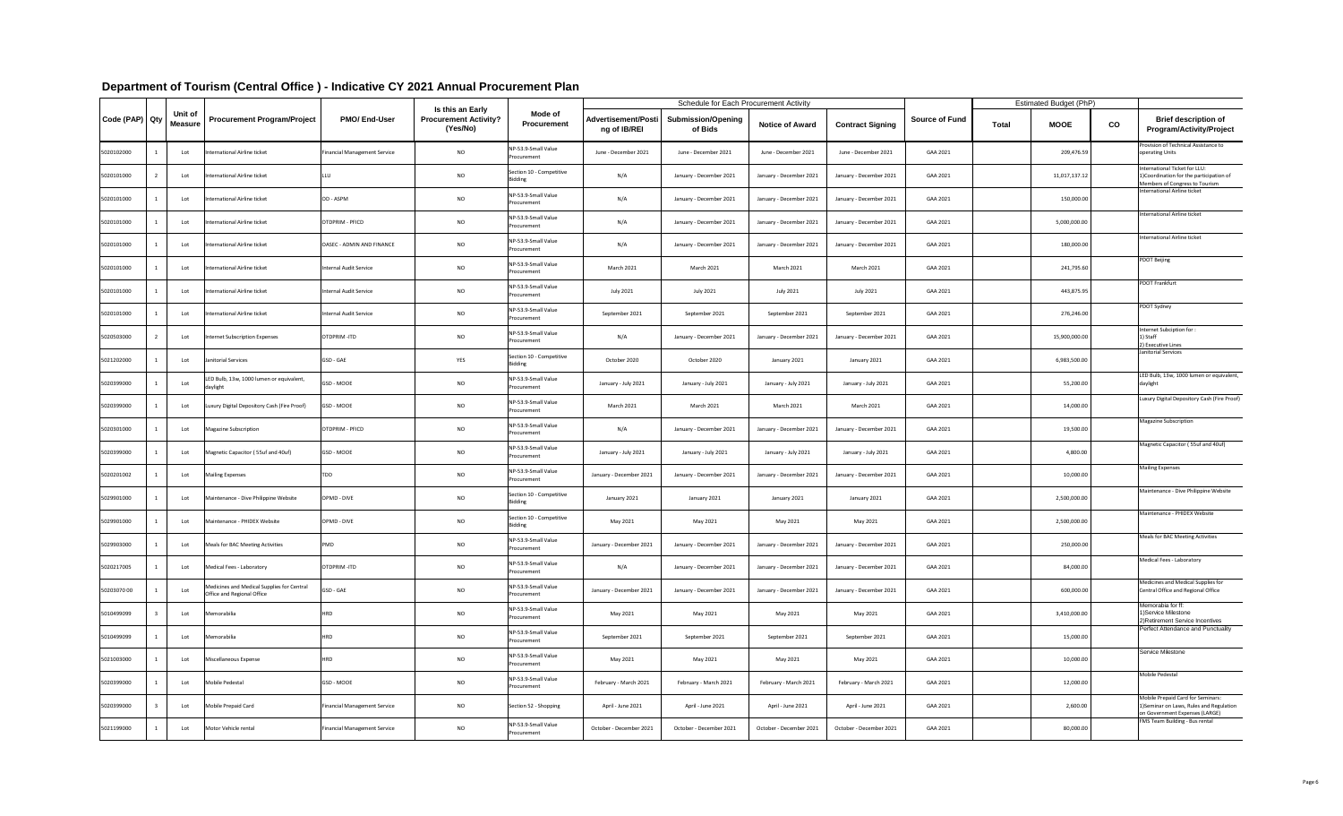| Code (PAP) Qty |  | Unit of<br><b>Measure</b> | <b>Procurement Program/Project</b>                                       | <b>PMO/End-User</b>                 | Is this an Early<br><b>Procurement Activity?</b><br>(Yes/No) | <b>Mode of</b><br><b>Procurement</b>       | <b>Advertisement/Posti</b><br>ng of IB/REI | <b>Schedule for Each Procurement Activity</b><br><b>Submission/Opening</b><br>of Bids | <b>Notice of Award</b>  | <b>Contract Signing</b> | <b>Source of Fund</b> | <b>Total</b> | <b>Estimated Budget (PhP)</b><br><b>MOOE</b> | CO | <b>Brief description of</b><br><b>Program/Activity/Project</b>                                                  |
|----------------|--|---------------------------|--------------------------------------------------------------------------|-------------------------------------|--------------------------------------------------------------|--------------------------------------------|--------------------------------------------|---------------------------------------------------------------------------------------|-------------------------|-------------------------|-----------------------|--------------|----------------------------------------------|----|-----------------------------------------------------------------------------------------------------------------|
| 5020102000     |  | Lot                       | International Airline ticket                                             | <b>Financial Management Service</b> | <b>NO</b>                                                    | NP-53.9-Small Value<br>Procurement         | June - December 2021                       | June - December 2021                                                                  | June - December 2021    | June - December 2021    | GAA 2021              |              | 209,476.59                                   |    | Provision of Technical Assistance to<br>operating Units                                                         |
| 5020101000     |  | Lot                       | International Airline ticket                                             |                                     | <b>NO</b>                                                    | Section 10 - Competitive<br><b>Bidding</b> | N/A                                        | January - December 2021                                                               | January - December 2021 | January - December 2021 | GAA 2021              |              | 11,017,137.12                                |    | International Ticket for LLU:<br>1) Coordination for the participation of<br>Members of Congress to Tourism     |
| 5020101000     |  | Lot                       | International Airline ticket                                             | OD - ASPM                           | <b>NO</b>                                                    | NP-53.9-Small Value<br>Procurement         | N/A                                        | January - December 2021                                                               | January - December 2021 | January - December 2021 | GAA 2021              |              | 150,000.00                                   |    | International Airline ticket                                                                                    |
| 5020101000     |  | Lot                       | International Airline ticket                                             | <b>OTDPRIM - PFICD</b>              | <b>NO</b>                                                    | NP-53.9-Small Value<br>Procurement         | N/A                                        | January - December 2021                                                               | January - December 2021 | January - December 2021 | GAA 2021              |              | 5,000,000.00                                 |    | International Airline ticket                                                                                    |
| 5020101000     |  | Lot                       | International Airline ticket                                             | OASEC - ADMIN AND FINANCE           | <b>NO</b>                                                    | NP-53.9-Small Value<br>Procurement         | N/A                                        | January - December 2021                                                               | January - December 2021 | January - December 2021 | GAA 2021              |              | 180,000.00                                   |    | International Airline ticket                                                                                    |
| 5020101000     |  | Lot                       | International Airline ticket                                             | Internal Audit Service              | <b>NO</b>                                                    | NP-53.9-Small Value<br>Procurement         | <b>March 2021</b>                          | <b>March 2021</b>                                                                     | March 2021              | March 2021              | GAA 2021              |              | 241,795.60                                   |    | <b>PDOT Beijing</b>                                                                                             |
| 5020101000     |  | Lot                       | International Airline ticket                                             | Internal Audit Service              | <b>NO</b>                                                    | NP-53.9-Small Value<br>Procurement         | July 2021                                  | <b>July 2021</b>                                                                      | July 2021               | <b>July 2021</b>        | GAA 2021              |              | 443,875.95                                   |    | PDOT Frankfurt                                                                                                  |
| 5020101000     |  | Lot                       | International Airline ticket                                             | Internal Audit Service              | <b>NO</b>                                                    | NP-53.9-Small Value<br>Procurement         | September 2021                             | September 2021                                                                        | September 2021          | September 2021          | GAA 2021              |              | 276,246.00                                   |    | PDOT Sydney                                                                                                     |
| 5020503000     |  | Lot                       | Internet Subscription Expenses                                           | OTDPRIM-ITD                         | <b>NO</b>                                                    | NP-53.9-Small Value<br>Procurement         | N/A                                        | January - December 2021                                                               | January - December 2021 | January - December 2021 | GAA 2021              |              | 15,900,000.00                                |    | Internet Subciption for:<br>1) Staff<br>2) Executive Lines                                                      |
| 5021202000     |  | Lot                       | Janitorial Services                                                      | <b>GSD - GAE</b>                    | YES                                                          | Section 10 - Competitive<br><b>Bidding</b> | October 2020                               | October 2020                                                                          | January 2021            | January 2021            | GAA 2021              |              | 6,983,500.00                                 |    | Janitorial Services                                                                                             |
| 5020399000     |  | Lot                       | LED Bulb, 13w, 1000 lumen or equivalent,<br>daylight                     | GSD - MOOE                          | <b>NO</b>                                                    | NP-53.9-Small Value<br>Procurement         | January - July 2021                        | January - July 2021                                                                   | January - July 2021     | January - July 2021     | GAA 2021              |              | 55,200.00                                    |    | LED Bulb, 13w, 1000 lumen or equivalent<br>daylight                                                             |
| 5020399000     |  | Lot                       | Luxury Digital Depository Cash (Fire Proof)                              | <b>GSD - MOOE</b>                   | <b>NO</b>                                                    | NP-53.9-Small Value<br>Procurement         | <b>March 2021</b>                          | <b>March 2021</b>                                                                     | March 2021              | March 2021              | GAA 2021              |              | 14,000.00                                    |    | Luxury Digital Depository Cash (Fire Proof)                                                                     |
| 5020301000     |  | Lot                       | Magazine Subscription                                                    | OTDPRIM - PFICD                     | <b>NO</b>                                                    | NP-53.9-Small Value<br>Procurement         | N/A                                        | January - December 2021                                                               | January - December 2021 | January - December 2021 | GAA 2021              |              | 19,500.00                                    |    | Magazine Subscription                                                                                           |
| 5020399000     |  | Lot                       | Magnetic Capacitor (55uf and 40uf)                                       | GSD - MOOE                          | <b>NO</b>                                                    | NP-53.9-Small Value<br>Procurement         | January - July 2021                        | January - July 2021                                                                   | January - July 2021     | January - July 2021     | GAA 2021              |              | 4,800.00                                     |    | Magnetic Capacitor (55uf and 40uf)                                                                              |
| 5020201002     |  | Lot                       | <b>Mailing Expenses</b>                                                  | TDD                                 | <b>NO</b>                                                    | NP-53.9-Small Value<br>Procurement         | January - December 2021                    | January - December 2021                                                               | January - December 2021 | January - December 2021 | GAA 2021              |              | 10,000.00                                    |    | <b>Mailing Expenses</b>                                                                                         |
| 5029901000     |  | Lot                       | Maintenance - Dive Philippine Website                                    | OPMD - DIVE                         | <b>NO</b>                                                    | Section 10 - Competitive<br><b>Bidding</b> | January 2021                               | January 2021                                                                          | January 2021            | January 2021            | GAA 2021              |              | 2,500,000.00                                 |    | Maintenance - Dive Philippine Website                                                                           |
| 5029901000     |  | Lot                       | Maintenance - PHIDEX Website                                             | OPMD - DIVE                         | <b>NO</b>                                                    | Section 10 - Competitive<br><b>Bidding</b> | May 2021                                   | May 2021                                                                              | May 2021                | May 2021                | GAA 2021              |              | 2,500,000.00                                 |    | Maintenance - PHIDEX Website                                                                                    |
| 5029903000     |  | Lot                       | Meals for BAC Meeting Activities                                         | PMD                                 | <b>NO</b>                                                    | NP-53.9-Small Value<br>Procurement         | January - December 2021                    | January - December 2021                                                               | January - December 2021 | January - December 2021 | GAA 2021              |              | 250,000.00                                   |    | Meals for BAC Meeting Activities                                                                                |
| 5020217005     |  | Lot                       | Medical Fees - Laboratory                                                | OTDPRIM-ITD                         | <b>NO</b>                                                    | NP-53.9-Small Value<br>Procurement         | N/A                                        | January - December 2021                                                               | January - December 2021 | January - December 2021 | GAA 2021              |              | 84,000.00                                    |    | Medical Fees - Laboratory                                                                                       |
| 5020307000     |  | Lot                       | Medicines and Medical Supplies for Central<br>Office and Regional Office | GSD - GAE                           | <b>NO</b>                                                    | NP-53.9-Small Value<br>Procurement         | January - December 2021                    | January - December 2021                                                               | January - December 2021 | January - December 2021 | GAA 2021              |              | 600,000.00                                   |    | Medicines and Medical Supplies for<br>Central Office and Regional Office                                        |
| 5010499099     |  | Lot                       | Memorabilia                                                              | HRD                                 | <b>NO</b>                                                    | NP-53.9-Small Value<br>Procurement         | May 2021                                   | May 2021                                                                              | May 2021                | May 2021                | GAA 2021              |              | 3,410,000.00                                 |    | Memorabia for ff:<br>1) Service Milestone<br>2) Retirement Service Incentives                                   |
| 5010499099     |  | Lot                       | Memorabilia                                                              | HRD                                 | <b>NO</b>                                                    | NP-53.9-Small Value<br>Procurement         | September 2021                             | September 2021                                                                        | September 2021          | September 2021          | GAA 2021              |              | 15,000.00                                    |    | <b>Perfect Attendance and Punctuality</b>                                                                       |
| 5021003000     |  | Lot                       | Miscellaneous Expense                                                    | <b>HRD</b>                          | <b>NO</b>                                                    | NP-53.9-Small Value<br>Procurement         | May 2021                                   | May 2021                                                                              | May 2021                | May 2021                | GAA 2021              |              | 10,000.00                                    |    | Service Milestone                                                                                               |
| 5020399000     |  | Lot                       | Mobile Pedestal                                                          | GSD - MOOE                          | <b>NO</b>                                                    | NP-53.9-Small Value<br>Procurement         | February - March 2021                      | February - March 2021                                                                 | February - March 2021   | February - March 2021   | GAA 2021              |              | 12,000.00                                    |    | Mobile Pedestal                                                                                                 |
| 5020399000     |  | Lot                       | Mobile Prepaid Card                                                      | <b>Financial Management Service</b> | <b>NO</b>                                                    | Section 52 - Shopping                      | April - June 2021                          | April - June 2021                                                                     | April - June 2021       | April - June 2021       | GAA 2021              |              | 2,600.00                                     |    | Mobile Prepaid Card for Seminars:<br>1) Seminar on Laws, Rules and Regulation<br>on Government Expenses (LARGE) |
| 5021199000     |  | Lot                       | Motor Vehicle rental                                                     | <b>Financial Management Service</b> | <b>NO</b>                                                    | NP-53.9-Small Value<br>Procurement         | October - December 2021                    | October - December 2021                                                               | October - December 2021 | October - December 2021 | GAA 2021              |              | 80,000.00                                    |    | <b>FMS Team Building - Bus rental</b>                                                                           |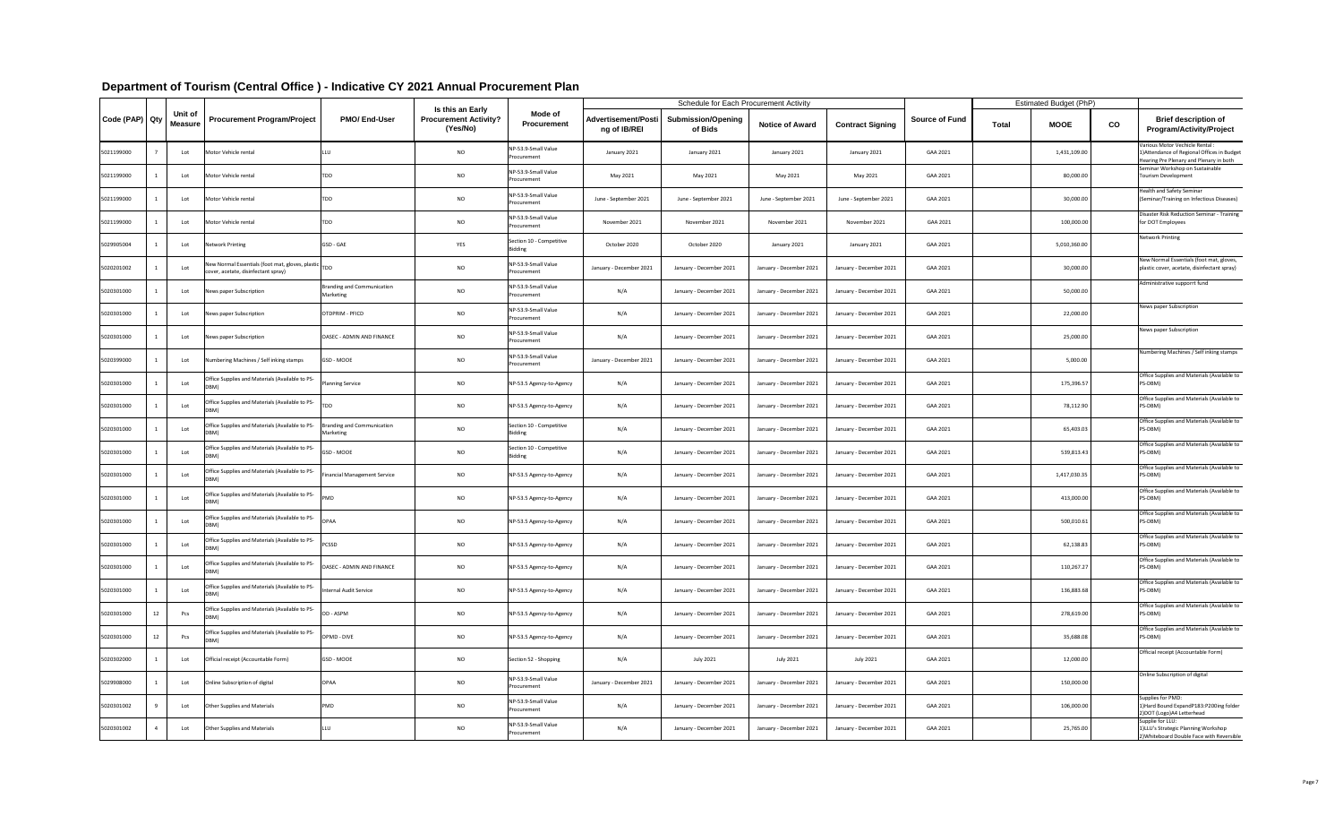|                |                           |                                                                                             |                                         |                                                              |                                            |                                            | <b>Schedule for Each Procurement Activity</b> |                         |                         |                       |              | <b>Estimated Budget (PhP)</b> |    |                                                                                                                           |
|----------------|---------------------------|---------------------------------------------------------------------------------------------|-----------------------------------------|--------------------------------------------------------------|--------------------------------------------|--------------------------------------------|-----------------------------------------------|-------------------------|-------------------------|-----------------------|--------------|-------------------------------|----|---------------------------------------------------------------------------------------------------------------------------|
| Code (PAP) Qty | Unit of<br><b>Measure</b> | <b>Procurement Program/Project</b>                                                          | <b>PMO/End-User</b>                     | Is this an Early<br><b>Procurement Activity?</b><br>(Yes/No) | <b>Mode of</b><br><b>Procurement</b>       | <b>Advertisement/Posti</b><br>ng of IB/REI | <b>Submission/Opening</b><br>of Bids          | <b>Notice of Award</b>  | <b>Contract Signing</b> | <b>Source of Fund</b> | <b>Total</b> | <b>MOOE</b>                   | co | <b>Brief description of</b><br><b>Program/Activity/Project</b>                                                            |
| 5021199000     | Lot                       | Motor Vehicle rental                                                                        |                                         | <b>NO</b>                                                    | NP-53.9-Small Value<br>Procurement         | January 2021                               | January 2021                                  | January 2021            | January 2021            | GAA 2021              |              | 1,431,109.00                  |    | Various Motor Vechicle Rental :<br>1) Attendance of Regional Offices in Budget<br>Hearing Pre Plenary and Plenary in both |
| 5021199000     | Lot                       | Motor Vehicle rental                                                                        | TDD                                     | <b>NO</b>                                                    | NP-53.9-Small Value<br>Procurement         | May 2021                                   | May 2021                                      | May 2021                | May 2021                | GAA 2021              |              | 80,000.00                     |    | Seminar Workshop on Sustainable<br><b>Tourism Development</b>                                                             |
| 5021199000     | Lot                       | Motor Vehicle rental                                                                        | TDD                                     | <b>NO</b>                                                    | NP-53.9-Small Value<br>Procurement         | June - September 2021                      | June - September 2021                         | June - September 2021   | June - September 2021   | GAA 2021              |              | 30,000.00                     |    | Health and Safety Seminar<br>(Seminar/Training on Infectious Diseases)                                                    |
| 5021199000     | Lot                       | Motor Vehicle rental                                                                        | TDD                                     | <b>NO</b>                                                    | NP-53.9-Small Value<br>Procurement         | November 2021                              | November 2021                                 | November 2021           | November 2021           | GAA 2021              |              | 100,000.00                    |    | Disaster Risk Reduction Seminar - Training<br>for DOT Employees                                                           |
| 5029905004     | Lot                       | <b>Network Printing</b>                                                                     | GSD - GAE                               | YES                                                          | Section 10 - Competitive<br><b>Bidding</b> | October 2020                               | October 2020                                  | January 2021            | January 2021            | GAA 2021              |              | 5,010,360.00                  |    | <b>Network Printing</b>                                                                                                   |
| 5020201002     | Lot                       | New Normal Essentials (foot mat, gloves, plastic TDD<br>cover, acetate, disinfectant spray) |                                         | <b>NO</b>                                                    | NP-53.9-Small Value<br>Procurement         | January - December 2021                    | January - December 2021                       | January - December 2021 | January - December 2021 | GAA 2021              |              | 30,000.00                     |    | New Normal Essentials (foot mat, gloves,<br>plastic cover, acetate, disinfectant spray)                                   |
| 5020301000     | Lot                       | News paper Subscription                                                                     | Branding and Communication<br>Marketing | <b>NO</b>                                                    | NP-53.9-Small Value<br>Procurement         | N/A                                        | January - December 2021                       | January - December 2021 | January - December 2021 | GAA 2021              |              | 50,000.00                     |    | Administrative supporrt fund                                                                                              |
| 5020301000     | Lot                       | News paper Subscription                                                                     | OTDPRIM - PFICD                         | <b>NO</b>                                                    | NP-53.9-Small Value<br>Procurement         | N/A                                        | January - December 2021                       | January - December 2021 | January - December 2021 | GAA 2021              |              | 22,000.00                     |    | News paper Subscription                                                                                                   |
| 5020301000     | Lot                       | News paper Subscription                                                                     | OASEC - ADMIN AND FINANCE               | <b>NO</b>                                                    | NP-53.9-Small Value<br>Procurement         | N/A                                        | January - December 2021                       | January - December 2021 | January - December 2021 | GAA 2021              |              | 25,000.00                     |    | News paper Subscription                                                                                                   |
| 5020399000     | Lot                       | Numbering Machines / Self inking stamps                                                     | GSD - MOOE                              | <b>NO</b>                                                    | NP-53.9-Small Value<br>Procurement         | January - December 2021                    | January - December 2021                       | January - December 2021 | January - December 2021 | GAA 2021              |              | 5,000.00                      |    | Numbering Machines / Self inking stamps                                                                                   |
| 5020301000     | Lot                       | Office Supplies and Materials (Available to PS-<br>DBM)                                     | <b>Planning Service</b>                 | <b>NO</b>                                                    | NP-53.5 Agency-to-Agency                   | N/A                                        | January - December 2021                       | January - December 2021 | January - December 2021 | GAA 2021              |              | 175,396.57                    |    | Office Supplies and Materials (Available to<br>PS-DBM)                                                                    |
| 5020301000     | Lot                       | Office Supplies and Materials (Available to PS-<br>DBM)                                     | <b>TDD</b>                              | <b>NO</b>                                                    | NP-53.5 Agency-to-Agency                   | N/A                                        | January - December 2021                       | January - December 2021 | January - December 2021 | GAA 2021              |              | 78,112.90                     |    | Office Supplies and Materials (Available to<br>PS-DBM)                                                                    |
| 5020301000     | Lot                       | Office Supplies and Materials (Available to PS-<br>DBM)                                     | Branding and Communication<br>Marketing | <b>NO</b>                                                    | Section 10 - Competitive<br><b>Bidding</b> | N/A                                        | January - December 2021                       | January - December 2021 | January - December 2021 | GAA 2021              |              | 65,403.03                     |    | Office Supplies and Materials (Available to<br>PS-DBM)                                                                    |
| 5020301000     | Lot                       | Office Supplies and Materials (Available to PS-                                             | GSD - MOOE                              | <b>NO</b>                                                    | Section 10 - Competitive<br><b>Bidding</b> | N/A                                        | January - December 2021                       | January - December 2021 | January - December 2021 | GAA 2021              |              | 539,813.43                    |    | Office Supplies and Materials (Available to<br>PS-DBM)                                                                    |
| 5020301000     | Lot                       | Office Supplies and Materials (Available to PS-<br>DBM)                                     | <b>Financial Management Service</b>     | <b>NO</b>                                                    | NP-53.5 Agency-to-Agency                   | N/A                                        | January - December 2021                       | January - December 2021 | January - December 2021 | GAA 2021              |              | 1,417,030.35                  |    | Office Supplies and Materials (Available to<br>PS-DBM)                                                                    |
| 5020301000     | Lot                       | Office Supplies and Materials (Available to PS-<br>DBM)                                     | PMD                                     | <b>NO</b>                                                    | NP-53.5 Agency-to-Agency                   | N/A                                        | January - December 2021                       | January - December 2021 | January - December 2021 | GAA 2021              |              | 413,000.00                    |    | Office Supplies and Materials (Available to<br>PS-DBM)                                                                    |
| 5020301000     | Lot                       | Office Supplies and Materials (Available to PS-<br>DBM)                                     | <b>OPAA</b>                             | <b>NO</b>                                                    | NP-53.5 Agency-to-Agency                   | N/A                                        | January - December 2021                       | January - December 2021 | January - December 2021 | GAA 2021              |              | 500,010.61                    |    | Office Supplies and Materials (Available to<br>PS-DBM)                                                                    |
| 5020301000     | Lot                       | Office Supplies and Materials (Available to PS-<br>DBM)                                     | <b>PCSSD</b>                            | <b>NO</b>                                                    | NP-53.5 Agency-to-Agency                   | N/A                                        | January - December 2021                       | January - December 2021 | January - December 2021 | GAA 2021              |              | 62,138.83                     |    | Office Supplies and Materials (Available to<br>PS-DBM)                                                                    |
| 5020301000     | Lot                       | Office Supplies and Materials (Available to PS-<br>DBM)<br>$\mathbf{v}$                     | OASEC - ADMIN AND FINANCE               | <b>NO</b>                                                    | NP-53.5 Agency-to-Agency                   | N/A                                        | January - December 2021                       | January - December 2021 | January - December 2021 | GAA 2021              |              | 110,267.27                    |    | Office Supplies and Materials (Available to<br>PS-DBM)                                                                    |
| 5020301000     | Lot                       | Office Supplies and Materials (Available to PS-<br>DBM)                                     | nternal Audit Service                   | <b>NO</b>                                                    | NP-53.5 Agency-to-Agency                   | N/A                                        | January - December 2021                       | January - December 2021 | January - December 2021 | GAA 2021              |              | 136,883.68                    |    | Office Supplies and Materials (Available to<br>PS-DBM)                                                                    |
| 5020301000     | Pcs                       | Office Supplies and Materials (Available to PS-<br>DBM)                                     | OD - ASPM                               | <b>NO</b>                                                    | NP-53.5 Agency-to-Agency                   | N/A                                        | January - December 2021                       | January - December 2021 | January - December 2021 | GAA 2021              |              | 278,619.00                    |    | Office Supplies and Materials (Available to<br>PS-DBM)                                                                    |
| 5020301000     | Pcs                       | Office Supplies and Materials (Available to PS-<br>DBM)                                     | OPMD - DIVE                             | <b>NO</b>                                                    | NP-53.5 Agency-to-Agency                   | N/A                                        | January - December 2021                       | January - December 2021 | January - December 2021 | GAA 2021              |              | 35,688.08                     |    | Office Supplies and Materials (Available to<br>PS-DBM)                                                                    |
| 5020302000     | Lot                       | Official receipt (Accountable Form)                                                         | <b>GSD - MOOE</b>                       | <b>NO</b>                                                    | Section 52 - Shopping                      | N/A                                        | <b>July 2021</b>                              | <b>July 2021</b>        | <b>July 2021</b>        | GAA 2021              |              | 12,000.00                     |    | Official receipt (Accountable Form)                                                                                       |
| 5029908000     | Lot                       | Online Subscription of digital                                                              | <b>OPAA</b>                             | <b>NO</b>                                                    | NP-53.9-Small Value<br>Procurement         | January - December 2021                    | January - December 2021                       | January - December 2021 | January - December 2021 | GAA 2021              |              | 150,000.00                    |    | Online Subscription of digital                                                                                            |
| 5020301002     | Lot                       | Other Supplies and Materials                                                                | <b>PMD</b>                              | <b>NO</b>                                                    | NP-53.9-Small Value<br>Procurement         | N/A                                        | January - December 2021                       | January - December 2021 | January - December 2021 | GAA 2021              |              | 106,000.00                    |    | Supplies for PMD:<br>1) Hard Bound Expand P183: P200ing folder<br>2) DOT (Logo) A4 Letterhead                             |
| 5020301002     | Lot                       | Other Supplies and Materials                                                                | ILLU                                    | <b>NO</b>                                                    | NP-53.9-Small Value<br>Procurement         | N/A                                        | January - December 2021                       | January - December 2021 | January - December 2021 | GAA 2021              |              | 25,765.00                     |    | Supplie for LLU:<br>1) LLU's Strategic Planning Workshop<br>2) Whiteboard Double Face with Reversible                     |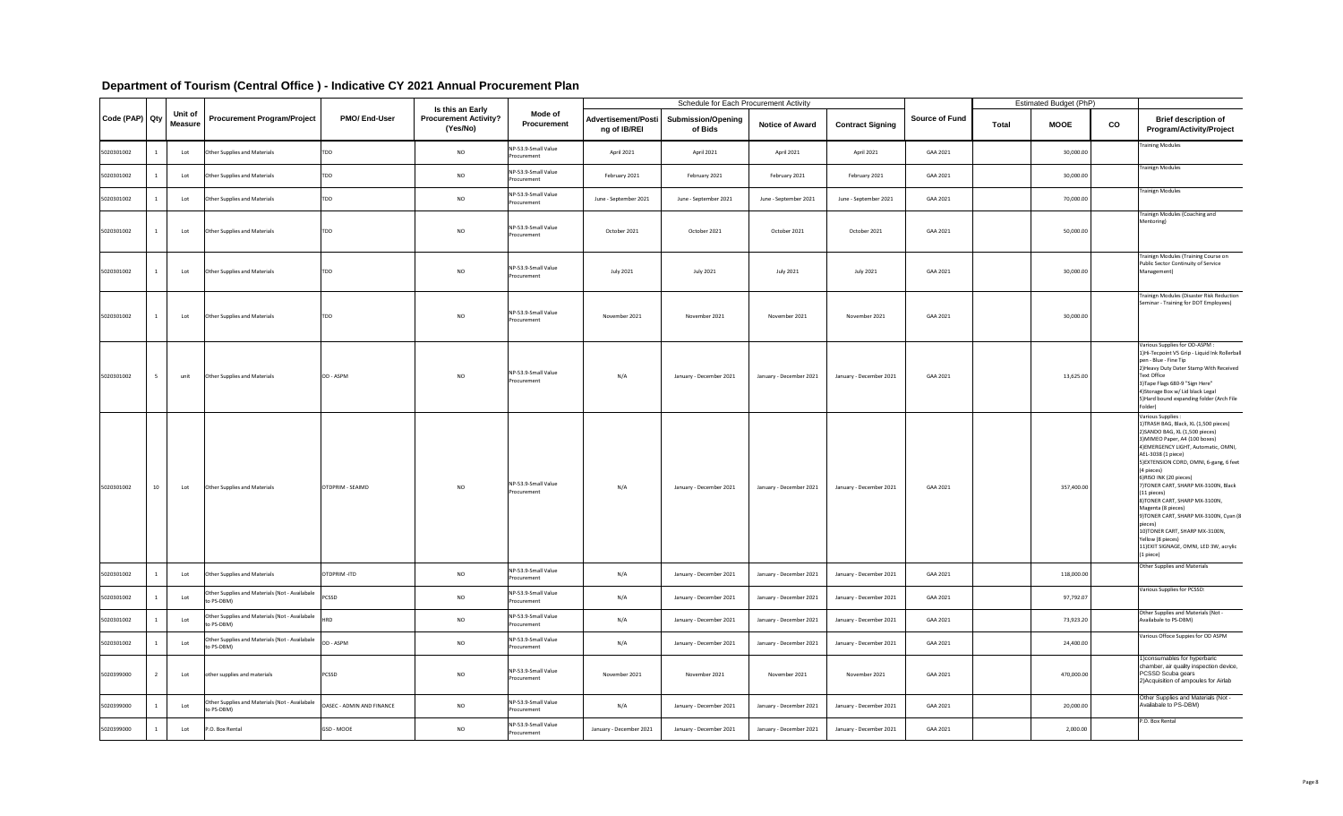|                                |    |                |                                                              |                           |                                                              |                                    |                                            | <b>Schedule for Each Procurement Activity</b> |                         |                         |                       | <b>Estimated Budget (PhP)</b> |    |                                                                                                                                                                                                                                                                                                                                                                                                                                                                                                                                                                          |
|--------------------------------|----|----------------|--------------------------------------------------------------|---------------------------|--------------------------------------------------------------|------------------------------------|--------------------------------------------|-----------------------------------------------|-------------------------|-------------------------|-----------------------|-------------------------------|----|--------------------------------------------------------------------------------------------------------------------------------------------------------------------------------------------------------------------------------------------------------------------------------------------------------------------------------------------------------------------------------------------------------------------------------------------------------------------------------------------------------------------------------------------------------------------------|
| Code (PAP)   Qty   Weasure   ' |    | <b>Unit of</b> | <b>Procurement Program/Project</b>                           | <b>PMO/End-User</b>       | Is this an Early<br><b>Procurement Activity?</b><br>(Yes/No) | Mode of<br><b>Procurement</b>      | <b>Advertisement/Posti</b><br>ng of IB/REI | <b>Submission/Opening</b><br>of Bids          | <b>Notice of Award</b>  | <b>Contract Signing</b> | <b>Source of Fund</b> | <b>MOOE</b><br><b>Total</b>   | co | <b>Brief description of</b><br><b>Program/Activity/Project</b>                                                                                                                                                                                                                                                                                                                                                                                                                                                                                                           |
| 5020301002                     |    | Lot            | Other Supplies and Materials                                 | <b>TDD</b>                | <b>NO</b>                                                    | NP-53.9-Small Value<br>Procurement | April 2021                                 | April 2021                                    | April 2021              | April 2021              | GAA 2021              | 30,000.00                     |    | <b>Training Modules</b>                                                                                                                                                                                                                                                                                                                                                                                                                                                                                                                                                  |
| 5020301002                     |    | Lot            | Other Supplies and Materials                                 | <b>TDD</b>                | <b>NO</b>                                                    | NP-53.9-Small Value<br>Procurement | February 2021                              | February 2021                                 | February 2021           | February 2021           | GAA 2021              | 30,000.00                     |    | <b>Trainign Modules</b>                                                                                                                                                                                                                                                                                                                                                                                                                                                                                                                                                  |
| 5020301002                     |    | Lot            | Other Supplies and Materials                                 | <b>TDD</b>                | <b>NO</b>                                                    | NP-53.9-Small Value<br>Procurement | June - September 2021                      | June - September 2021                         | June - September 2021   | June - September 2021   | GAA 2021              | 70,000.00                     |    | <b>Trainign Modules</b>                                                                                                                                                                                                                                                                                                                                                                                                                                                                                                                                                  |
| 5020301002                     |    | Lot            | Other Supplies and Materials                                 | <b>TDD</b>                | <b>NO</b>                                                    | NP-53.9-Small Value<br>Procurement | October 2021                               | October 2021                                  | October 2021            | October 2021            | GAA 2021              | 50,000.00                     |    | Trainign Modules (Coaching and<br>Mentoring)                                                                                                                                                                                                                                                                                                                                                                                                                                                                                                                             |
| 5020301002                     |    | Lot            | Other Supplies and Materials                                 | <b>TDD</b>                | <b>NO</b>                                                    | NP-53.9-Small Value<br>Procurement | <b>July 2021</b>                           | <b>July 2021</b>                              | <b>July 2021</b>        | July 2021               | GAA 2021              | 30,000.00                     |    | Trainign Modules (Training Course on<br>Public Sector Continuity of Service<br>Management)                                                                                                                                                                                                                                                                                                                                                                                                                                                                               |
| 5020301002                     |    | Lot            | Other Supplies and Materials                                 | TDD                       | <b>NO</b>                                                    | NP-53.9-Small Value<br>Procurement | November 2021                              | November 2021                                 | November 2021           | November 2021           | GAA 2021              | 30,000.00                     |    | Trainign Modules (Disaster Risk Reduction<br>Seminar - Training for DOT Employees)                                                                                                                                                                                                                                                                                                                                                                                                                                                                                       |
| 5020301002                     |    | unit           | Other Supplies and Materials                                 | OD - ASPM                 | <b>NO</b>                                                    | NP-53.9-Small Value<br>Procurement | N/A                                        | January - December 2021                       | January - December 2021 | January - December 2021 | GAA 2021              | 13,625.00                     |    | Various Supplies for OD-ASPM :<br>1) Hi-Tecpoint V5 Grip - Liquid Ink Rollerball<br>pen - Blue - Fine Tip<br>2) Heavy Duty Dater Stamp With Received<br><b>Text Office</b><br>3) Tape Flags 680-9 "Sign Here"<br>4) Storage Box w/ Lid black Legal<br>5) Hard bound expanding folder (Arch File<br>Folder)                                                                                                                                                                                                                                                               |
| 5020301002                     | 10 | Lot            | Other Supplies and Materials                                 | OTDPRIM - SEAIMD          | <b>NO</b>                                                    | NP-53.9-Small Value<br>Procurement | N/A                                        | January - December 2021                       | January - December 2021 | January - December 2021 | GAA 2021              | 357,400.00                    |    | Various Supplies :<br>1) TRASH BAG, Black, XL (1,500 pieces)<br>2) SANDO BAG, XL (1,500 pieces)<br>3) MIMEO Paper, A4 (100 boxes)<br>4) EMERGENCY LIGHT, Automatic, OMNI,<br>AEL-3038 (1 piece)<br>5) EXTENSION CORD, OMNI, 6-gang, 6 feet<br>(4 pieces)<br>6)RISO INK (20 pieces)<br>7) TONER CART, SHARP MX-3100N, Black<br>$(11$ pieces)<br>8) TONER CART, SHARP MX-3100N,<br>Magenta (8 pieces)<br>9) TONER CART, SHARP MX-3100N, Cyan (8<br>pieces)<br>10) TONER CART, SHARP MX-3100N,<br>Yellow (8 pieces)<br>11) EXIT SIGNAGE, OMNI, LED 3W, acrylic<br>(1 piece) |
| 5020301002                     |    | Lot            | Other Supplies and Materials                                 | OTDPRIM-ITD               | <b>NO</b>                                                    | NP-53.9-Small Value<br>Procurement | N/A                                        | January - December 2021                       | January - December 2021 | January - December 2021 | GAA 2021              | 118,000.00                    |    | <b>Other Supplies and Materials</b>                                                                                                                                                                                                                                                                                                                                                                                                                                                                                                                                      |
| 5020301002                     |    | Lot            | Other Supplies and Materials (Not - Availabale<br>o PS-DBM)  | PCSSD                     | <b>NO</b>                                                    | NP-53.9-Small Value<br>Procurement | N/A                                        | January - December 2021                       | January - December 2021 | January - December 2021 | GAA 2021              | 97,792.07                     |    | Various Supplies for PCSSD:                                                                                                                                                                                                                                                                                                                                                                                                                                                                                                                                              |
| 5020301002                     |    | Lot            | Other Supplies and Materials (Not - Availabale<br>to PS-DBM) | <b>HRD</b>                | <b>NO</b>                                                    | NP-53.9-Small Value<br>Procurement | N/A                                        | January - December 2021                       | January - December 2021 | January - December 2021 | GAA 2021              | 73,923.20                     |    | Other Supplies and Materials (Not -<br>Availabale to PS-DBM)                                                                                                                                                                                                                                                                                                                                                                                                                                                                                                             |
| 5020301002                     |    | Lot            | Other Supplies and Materials (Not - Availabale<br>o PS-DBM)  | OD - ASPM                 | <b>NO</b>                                                    | NP-53.9-Small Value<br>Procurement | N/A                                        | January - December 2021                       | January - December 2021 | January - December 2021 | GAA 2021              | 24,400.00                     |    | Various Offoce Suppies for OD ASPM                                                                                                                                                                                                                                                                                                                                                                                                                                                                                                                                       |
| 5020399000                     |    | Lot            | other supplies and materials                                 | <b>PCSSD</b>              | <b>NO</b>                                                    | NP-53.9-Small Value<br>Procurement | November 2021                              | November 2021                                 | November 2021           | November 2021           | GAA 2021              | 470,000.00                    |    | 1) consumables for hyperbaric<br>chamber, air quality inspection device,<br>PCSSD Scuba gears<br>2) Acquisition of ampoules for Airlab                                                                                                                                                                                                                                                                                                                                                                                                                                   |
| 5020399000                     |    | Lot            | Other Supplies and Materials (Not - Availabale<br>o PS-DBM)  | OASEC - ADMIN AND FINANCE | <b>NO</b>                                                    | NP-53.9-Small Value<br>Procurement | N/A                                        | January - December 2021                       | January - December 2021 | January - December 2021 | GAA 2021              | 20,000.00                     |    | Other Supplies and Materials (Not -<br>Availabale to PS-DBM)                                                                                                                                                                                                                                                                                                                                                                                                                                                                                                             |
| 5020399000                     |    | Lot            | P.O. Box Rental                                              | GSD - MOOE                | <b>NO</b>                                                    | NP-53.9-Small Value<br>Procurement | January - December 2021                    | January - December 2021                       | January - December 2021 | January - December 2021 | GAA 2021              | 2,000.00                      |    | P.O. Box Rental                                                                                                                                                                                                                                                                                                                                                                                                                                                                                                                                                          |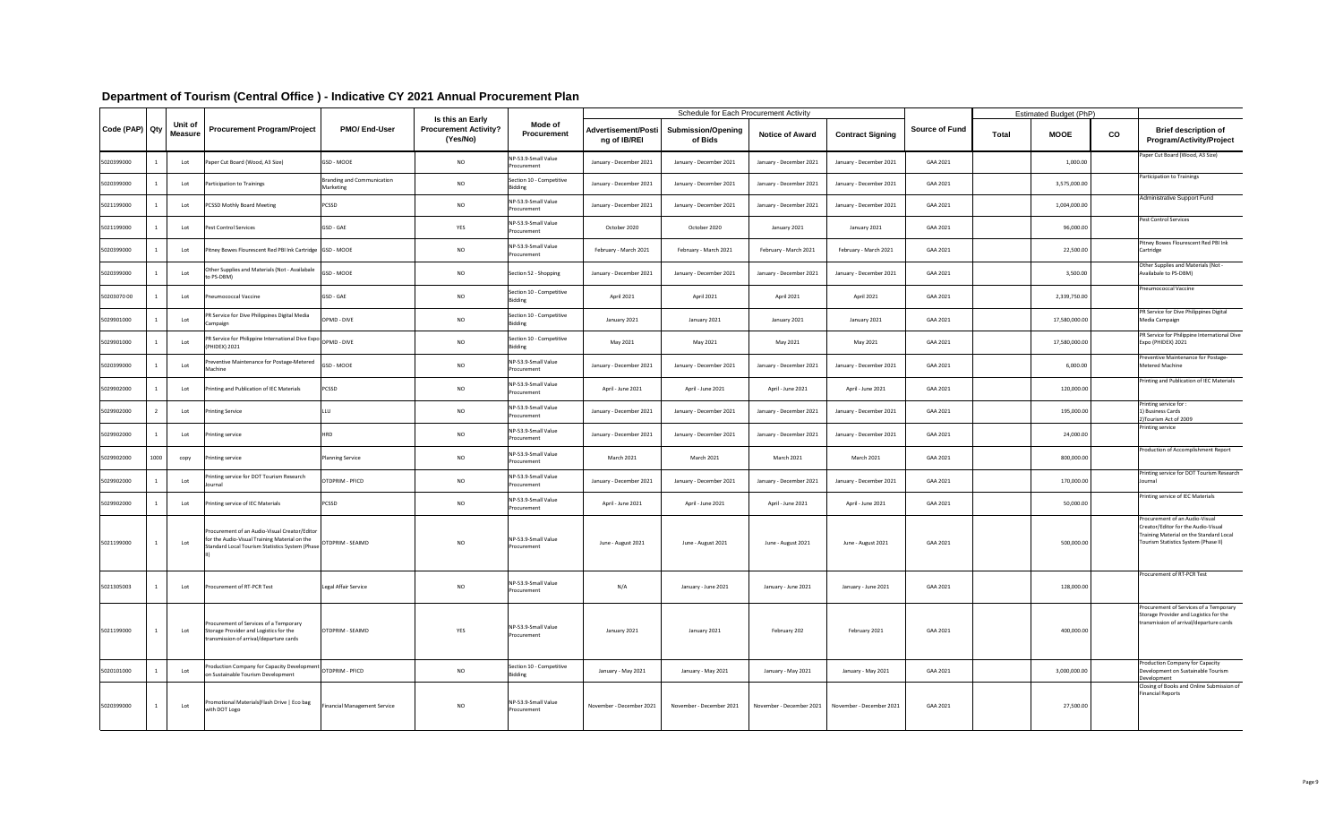|                |      |                           |                                                                                                                                                   |                                                |                                                                     |                                            |                                            | <b>Schedule for Each Procurement Activity</b> |                          |                          |                       |              | <b>Estimated Budget (PhP)</b> |    |                                                                                                                                                          |
|----------------|------|---------------------------|---------------------------------------------------------------------------------------------------------------------------------------------------|------------------------------------------------|---------------------------------------------------------------------|--------------------------------------------|--------------------------------------------|-----------------------------------------------|--------------------------|--------------------------|-----------------------|--------------|-------------------------------|----|----------------------------------------------------------------------------------------------------------------------------------------------------------|
| Code (PAP) Qty |      | Unit of<br><b>Measure</b> | <b>Procurement Program/Project</b>                                                                                                                | <b>PMO/End-User</b>                            | <b>Is this an Early</b><br><b>Procurement Activity?</b><br>(Yes/No) | <b>Mode of</b><br><b>Procurement</b>       | <b>Advertisement/Posti</b><br>ng of IB/REI | <b>Submission/Opening</b><br>of Bids          | <b>Notice of Award</b>   | <b>Contract Signing</b>  | <b>Source of Fund</b> | <b>Total</b> | <b>MOOE</b>                   | CO | <b>Brief description of</b><br><b>Program/Activity/Project</b>                                                                                           |
| 5020399000     |      | Lot                       | Paper Cut Board (Wood, A3 Size)                                                                                                                   | GSD - MOOE                                     | <b>NO</b>                                                           | NP-53.9-Small Value<br>Procurement         | January - December 2021                    | January - December 2021                       | January - December 2021  | January - December 2021  | GAA 2021              |              | 1,000.00                      |    | Paper Cut Board (Wood, A3 Size)                                                                                                                          |
| 5020399000     |      | Lot                       | Participation to Trainings                                                                                                                        | <b>Branding and Communication</b><br>Marketing | <b>NO</b>                                                           | Section 10 - Competitive<br><b>Bidding</b> | January - December 2021                    | January - December 2021                       | January - December 2021  | January - December 2021  | GAA 2021              |              | 3,575,000.00                  |    | Participation to Trainings                                                                                                                               |
| 5021199000     |      | Lot                       | <b>PCSSD Mothly Board Meeting</b>                                                                                                                 | <b>PCSSD</b>                                   | <b>NO</b>                                                           | NP-53.9-Small Value<br>Procurement         | January - December 2021                    | January - December 2021                       | January - December 2021  | January - December 2021  | GAA 2021              |              | 1,004,000.00                  |    | Administrative Support Fund                                                                                                                              |
| 5021199000     |      | Lot                       | Pest Control Services                                                                                                                             | <b>GSD - GAE</b>                               | YES                                                                 | NP-53.9-Small Value<br>Procurement         | October 2020                               | October 2020                                  | January 2021             | January 2021             | GAA 2021              |              | 96,000.00                     |    | Pest Control Services                                                                                                                                    |
| 5020399000     |      | Lot                       | Pitney Bowes Flourescent Red PBI Ink Cartridge GSD - MOOE                                                                                         |                                                | <b>NO</b>                                                           | NP-53.9-Small Value<br>Procurement         | February - March 2021                      | February - March 2021                         | February - March 2021    | February - March 2021    | GAA 2021              |              | 22,500.00                     |    | Pitney Bowes Flourescent Red PBI Ink<br>Cartridge                                                                                                        |
| 5020399000     |      | Lot                       | Other Supplies and Materials (Not - Availabale<br>to PS-DBM)                                                                                      | GSD - MOOE                                     | <b>NO</b>                                                           | Section 52 - Shopping                      | January - December 2021                    | January - December 2021                       | January - December 2021  | January - December 2021  | GAA 2021              |              | 3,500.00                      |    | Other Supplies and Materials (Not -<br>Availabale to PS-DBM)                                                                                             |
| 5020307000     |      | Lot                       | <b>Pneumococcal Vaccine</b>                                                                                                                       | GSD - GAE                                      | <b>NO</b>                                                           | Section 10 - Competitive<br><b>Bidding</b> | April 2021                                 | April 2021                                    | April 2021               | April 2021               | GAA 2021              |              | 2,339,750.00                  |    | <b>Pneumococcal Vaccine</b>                                                                                                                              |
| 5029901000     |      | Lot                       | PR Service for Dive Philippines Digital Media<br>Campaign                                                                                         | OPMD - DIVE                                    | <b>NO</b>                                                           | Section 10 - Competitive<br><b>Bidding</b> | January 2021                               | January 2021                                  | January 2021             | January 2021             | GAA 2021              |              | 17,580,000.00                 |    | PR Service for Dive Philippines Digital<br>Media Campaign                                                                                                |
| 5029901000     |      | $I$ ot                    | PR Service for Philippine International Dive Expo OPMD - DIVE<br>(PHIDEX) 2021                                                                    |                                                | NO                                                                  | Section 10 - Competitive<br><b>Bidding</b> | May 2021                                   | May 2021                                      | May 2021                 | May 2021                 | GAA 2021              |              | 17,580,000.00                 |    | PR Service for Philippine International Dive<br>Expo (PHIDEX) 2021                                                                                       |
| 5020399000     |      | Lot                       | Preventive Maintenance for Postage-Metered<br>Machine                                                                                             | GSD - MOOE                                     | <b>NO</b>                                                           | NP-53.9-Small Value<br>Procurement         | January - December 2021                    | January - December 2021                       | January - December 2021  | January - December 2021  | GAA 2021              |              | 6,000.00                      |    | Preventive Maintenance for Postage-<br><b>Metered Machine</b>                                                                                            |
| 5029902000     |      | Lot                       | Printing and Publication of IEC Materials                                                                                                         | <b>PCSSD</b>                                   | <b>NO</b>                                                           | NP-53.9-Small Value<br>Procurement         | April - June 2021                          | April - June 2021                             | April - June 2021        | April - June 2021        | GAA 2021              |              | 120,000.00                    |    | Printing and Publication of IEC Materials                                                                                                                |
| 5029902000     |      | Lot                       | <b>Printing Service</b>                                                                                                                           | LLU                                            | <b>NO</b>                                                           | NP-53.9-Small Value<br>Procurement         | January - December 2021                    | January - December 2021                       | January - December 2021  | January - December 2021  | GAA 2021              |              | 195,000.00                    |    | Printing service for :<br>1) Business Cards<br>2) Tourism Act of 2009                                                                                    |
| 5029902000     |      | Lot                       | <b>Printing service</b>                                                                                                                           | HRD                                            | <b>NO</b>                                                           | NP-53.9-Small Value<br>Procurement         | January - December 2021                    | January - December 2021                       | January - December 2021  | January - December 2021  | GAA 2021              |              | 24,000.00                     |    | Printing service                                                                                                                                         |
| 5029902000     | 1000 | сору                      | Printing service                                                                                                                                  | <b>Planning Service</b>                        | <b>NO</b>                                                           | NP-53.9-Small Value<br>Procurement         | March 2021                                 | <b>March 2021</b>                             | <b>March 2021</b>        | <b>March 2021</b>        | GAA 2021              |              | 800,000.00                    |    | Production of Accomplishment Report                                                                                                                      |
| 5029902000     |      | Lot                       | Printing service for DOT Tourism Research<br>Journal                                                                                              | OTDPRIM - PFICD                                | <b>NO</b>                                                           | NP-53.9-Small Value<br>Procurement         | January - December 2021                    | January - December 2021                       | January - December 2021  | January - December 2021  | GAA 2021              |              | 170,000.00                    |    | Printing service for DOT Tourism Research<br>Journal                                                                                                     |
| 5029902000     |      | Lot                       | Printing service of IEC Materials                                                                                                                 | <b>PCSSD</b>                                   | <b>NO</b>                                                           | NP-53.9-Small Value<br>Procurement         | April - June 2021                          | April - June 2021                             | April - June 2021        | April - June 2021        | GAA 2021              |              | 50,000.00                     |    | Printing service of IEC Materials                                                                                                                        |
| 5021199000     |      | Lot                       | Procurement of an Audio-Visual Creator/Editor<br>for the Audio-Visual Training Material on the<br>Standard Local Tourism Statistics System (Phase | OTDPRIM - SEAIMD                               | <b>NO</b>                                                           | NP-53.9-Small Value<br>Procurement         | June - August 2021                         | June - August 2021                            | June - August 2021       | June - August 2021       | GAA 2021              |              | 500,000.00                    |    | Procurement of an Audio-Visual<br>Creator/Editor for the Audio-Visual<br>Training Material on the Standard Local<br>Tourism Statistics System (Phase II) |
| 5021305003     |      | Lot                       | Procurement of RT-PCR Test                                                                                                                        | Legal Affair Service                           | <b>NO</b>                                                           | NP-53.9-Small Value<br>Procurement         | N/A                                        | January - June 2021                           | January - June 2021      | January - June 2021      | GAA 2021              |              | 128,000.00                    |    | Procurement of RT-PCR Test                                                                                                                               |
| 5021199000     |      | Lot                       | Procurement of Services of a Temporary<br>Storage Provider and Logistics for the<br>transmission of arrival/departure cards                       | OTDPRIM - SEAIMD                               | <b>YES</b>                                                          | NP-53.9-Small Value<br>Procurement         | January 2021                               | January 2021                                  | February 202             | February 2021            | GAA 2021              |              | 400,000.00                    |    | Procurement of Services of a Temporary<br>Storage Provider and Logistics for the<br>transmission of arrival/departure cards                              |
| 5020101000     |      | Lot                       | Production Company for Capacity Development OTDPRIM - PFICD<br>on Sustainable Tourism Development                                                 |                                                | <b>NO</b>                                                           | Section 10 - Competitive<br><b>Bidding</b> | January - May 2021                         | January - May 2021                            | January - May 2021       | January - May 2021       | GAA 2021              |              | 3,000,000.00                  |    | Production Company for Capacity<br>Development on Sustainable Tourism<br>Development                                                                     |
| 5020399000     |      | Lot                       | Promotional Materials (Flash Drive   Eco bag<br>with DOT Logo                                                                                     | <b>Financial Management Service</b>            | <b>NO</b>                                                           | NP-53.9-Small Value<br>Procurement         | November - December 2021                   | November - December 2021                      | November - December 2021 | November - December 2021 | GAA 2021              |              | 27,500.00                     |    | Closing of Books and Online Submission of<br><b>Financial Reports</b>                                                                                    |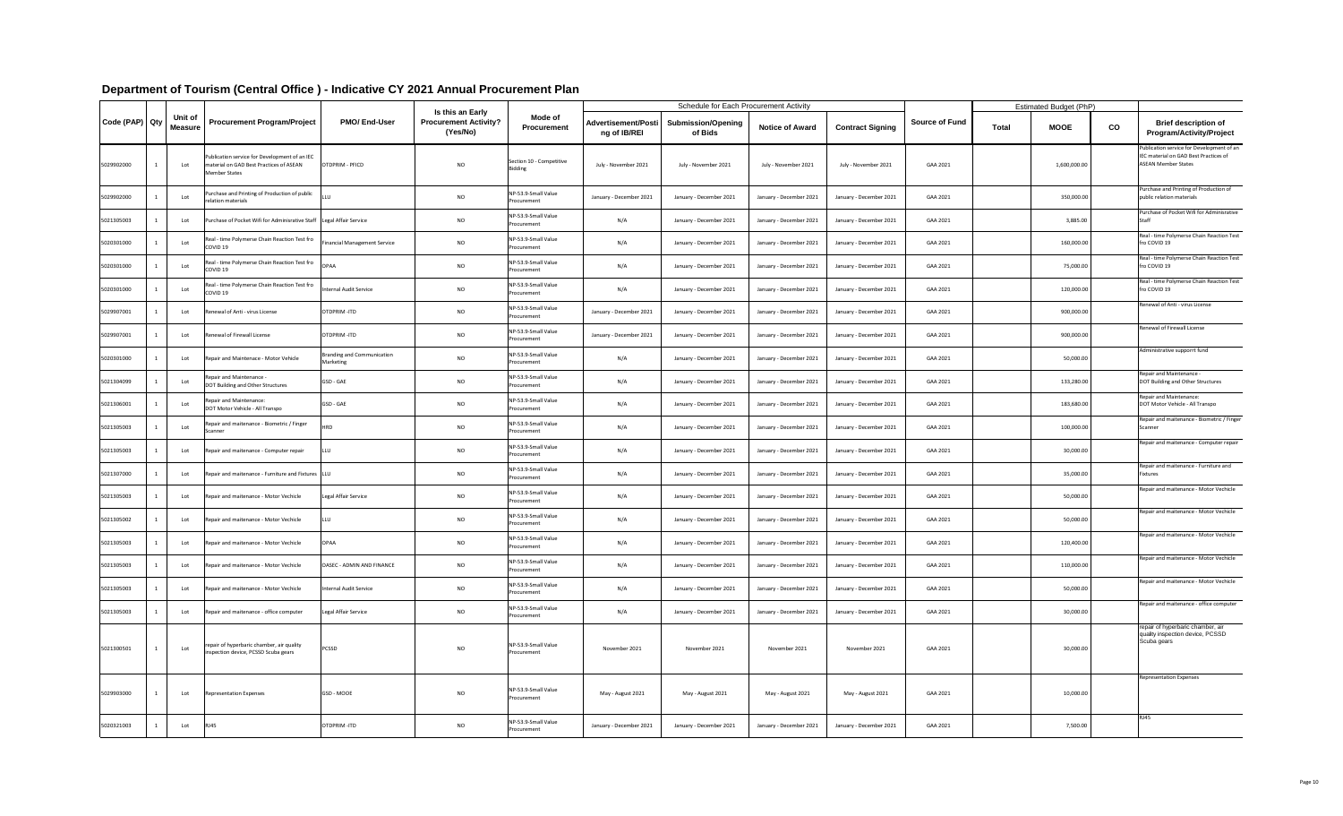|                |                           |                                                                                                           |                                         |                                                              |                                            |                                            | <b>Schedule for Each Procurement Activity</b> |                         |                         |                       |              | <b>Estimated Budget (PhP)</b> |    |                                                                                                                  |
|----------------|---------------------------|-----------------------------------------------------------------------------------------------------------|-----------------------------------------|--------------------------------------------------------------|--------------------------------------------|--------------------------------------------|-----------------------------------------------|-------------------------|-------------------------|-----------------------|--------------|-------------------------------|----|------------------------------------------------------------------------------------------------------------------|
| Code (PAP) Qty | Unit of<br><b>Measure</b> | <b>Procurement Program/Project</b>                                                                        | <b>PMO/End-User</b>                     | Is this an Early<br><b>Procurement Activity?</b><br>(Yes/No) | <b>Mode of</b><br><b>Procurement</b>       | <b>Advertisement/Posti</b><br>ng of IB/REI | <b>Submission/Opening</b><br>of Bids          | <b>Notice of Award</b>  | <b>Contract Signing</b> | <b>Source of Fund</b> | <b>Total</b> | <b>MOOE</b>                   | CO | <b>Brief description of</b><br><b>Program/Activity/Project</b>                                                   |
| 5029902000     | Lot                       | Publication service for Development of an IEC<br>material on GAD Best Practices of ASEAN<br>Member States | OTDPRIM - PFICD                         | <b>NO</b>                                                    | Section 10 - Competitive<br><b>Bidding</b> | July - November 2021                       | July - November 2021                          | July - November 2021    | July - November 2021    | GAA 2021              |              | 1,600,000.00                  |    | Publication service for Development of an<br>IEC material on GAD Best Practices of<br><b>ASEAN Member States</b> |
| 5029902000     | Lot                       | Purchase and Printing of Production of public<br>relation materials                                       |                                         | <b>NO</b>                                                    | NP-53.9-Small Value<br>Procurement         | January - December 2021                    | January - December 2021                       | January - December 2021 | January - December 2021 | GAA 2021              |              | 350,000.00                    |    | Purchase and Printing of Production of<br>public relation materials                                              |
| 5021305003     | Lot                       | Purchase of Pocket Wifi for Adminisrative Staff   Legal Affair Service                                    |                                         | <b>NO</b>                                                    | NP-53.9-Small Value<br>Procurement         | N/A                                        | January - December 2021                       | January - December 2021 | January - December 2021 | GAA 2021              |              | 3,885.00                      |    | Purchase of Pocket Wifi for Adminisrative                                                                        |
| 5020301000     | Lot                       | Real - time Polymerse Chain Reaction Test fro<br>COVID <sub>19</sub>                                      | Financial Management Service            | <b>NO</b>                                                    | NP-53.9-Small Value<br>Procurement         | N/A                                        | January - December 2021                       | January - December 2021 | January - December 2021 | GAA 2021              |              | 160,000.00                    |    | Real - time Polymerse Chain Reaction Test<br>fro COVID 19                                                        |
| 5020301000     | Lot                       | Real - time Polymerse Chain Reaction Test fro<br>COVID <sub>19</sub>                                      | <b>OPAA</b>                             | <b>NO</b>                                                    | NP-53.9-Small Value<br>Procurement         | N/A                                        | January - December 2021                       | January - December 2021 | January - December 2021 | GAA 2021              |              | 75,000.00                     |    | Real - time Polymerse Chain Reaction Test<br>fro COVID 19                                                        |
| 5020301000     | Lot                       | Real - time Polymerse Chain Reaction Test fro<br>COVID <sub>19</sub>                                      | nternal Audit Service                   | <b>NO</b>                                                    | NP-53.9-Small Value<br>Procurement         | N/A                                        | January - December 2021                       | January - December 2021 | January - December 2021 | GAA 2021              |              | 120,000.00                    |    | Real - time Polymerse Chain Reaction Test<br>fro COVID 19                                                        |
| 5029907001     | Lot                       | Renewal of Anti - virus License                                                                           | OTDPRIM-ITD                             | <b>NO</b>                                                    | NP-53.9-Small Value<br>Procurement         | January - December 2021                    | January - December 2021                       | January - December 2021 | January - December 2021 | GAA 2021              |              | 900,000.00                    |    | Renewal of Anti - virus License                                                                                  |
| 5029907001     | Lot                       | Renewal of Firewall License                                                                               | OTDPRIM-ITD                             | <b>NO</b>                                                    | NP-53.9-Small Value<br>Procurement         | January - December 2021                    | January - December 2021                       | January - December 2021 | January - December 2021 | GAA 2021              |              | 900,000.00                    |    | Renewal of Firewall License                                                                                      |
| 5020301000     | Lot                       | Repair and Maintenace - Motor Vehicle                                                                     | Branding and Communication<br>Marketing | <b>NO</b>                                                    | NP-53.9-Small Value<br>Procurement         | N/A                                        | January - December 2021                       | January - December 2021 | January - December 2021 | GAA 2021              |              | 50,000.00                     |    | Administrative supporrt fund                                                                                     |
| 5021304099     | Lot                       | Repair and Maintenance -<br>DOT Building and Other Structures                                             | GSD - GAE                               | <b>NO</b>                                                    | NP-53.9-Small Value<br>Procurement         | N/A                                        | January - December 2021                       | January - December 2021 | January - December 2021 | GAA 2021              |              | 133,280.00                    |    | Repair and Maintenance -<br>DOT Building and Other Structures                                                    |
| 5021306001     | Lot                       | Repair and Maintenance:<br>DOT Motor Vehicle - All Transpo                                                | <b>GSD - GAE</b>                        | <b>NO</b>                                                    | NP-53.9-Small Value<br>Procurement         | N/A                                        | January - December 2021                       | January - December 2021 | January - December 2021 | GAA 2021              |              | 183,680.00                    |    | Repair and Maintenance:<br>DOT Motor Vehicle - All Transpo                                                       |
| 5021305003     | Lot                       | Repair and maitenance - Biometric / Finger<br>Scanner                                                     | <b>HRD</b>                              | <b>NO</b>                                                    | NP-53.9-Small Value<br>Procurement         | N/A                                        | January - December 2021                       | January - December 2021 | January - December 2021 | GAA 2021              |              | 100,000.00                    |    | Repair and maitenance - Biometric / Finger<br>Scanner                                                            |
| 5021305003     | Lot                       | Repair and maitenance - Computer repair                                                                   | LLU                                     | <b>NO</b>                                                    | NP-53.9-Small Value<br>Procurement         | N/A                                        | January - December 2021                       | January - December 2021 | January - December 2021 | GAA 2021              |              | 30,000.00                     |    | Repair and maitenance - Computer repair                                                                          |
| 5021307000     | Lot                       | Repair and maitenance - Furniture and Fixtures   LLU                                                      |                                         | <b>NO</b>                                                    | NP-53.9-Small Value<br>Procurement         | N/A                                        | January - December 2021                       | January - December 2021 | January - December 2021 | GAA 2021              |              | 35,000.00                     |    | Repair and maitenance - Furniture and<br>Fixtures                                                                |
| 5021305003     | Lot                       | Repair and maitenance - Motor Vechicle                                                                    | Legal Affair Service                    | <b>NO</b>                                                    | NP-53.9-Small Value<br>Procurement         | N/A                                        | January - December 2021                       | January - December 2021 | January - December 2021 | GAA 2021              |              | 50,000.00                     |    | Repair and maitenance - Motor Vechicle                                                                           |
| 5021305002     | Lot                       | Repair and maitenance - Motor Vechicle                                                                    | LLU                                     | <b>NO</b>                                                    | NP-53.9-Small Value<br>Procurement         | N/A                                        | January - December 2021                       | January - December 2021 | January - December 2021 | GAA 2021              |              | 50,000.00                     |    | Repair and maitenance - Motor Vechicle                                                                           |
| 5021305003     | Lot                       | Repair and maitenance - Motor Vechicle                                                                    | OPAA                                    | <b>NO</b>                                                    | NP-53.9-Small Value<br>Procurement         | N/A                                        | January - December 2021                       | January - December 2021 | January - December 2021 | GAA 2021              |              | 120,400.00                    |    | Repair and maitenance - Motor Vechicle                                                                           |
| 5021305003     | Lot                       | Repair and maitenance - Motor Vechicle                                                                    | <b>OASEC - ADMIN AND FINANCE</b>        | <b>NO</b>                                                    | NP-53.9-Small Value<br>Procurement         | N/A                                        | January - December 2021                       | January - December 2021 | January - December 2021 | GAA 2021              |              | 110,000.00                    |    | Repair and maitenance - Motor Vechicle                                                                           |
| 5021305003     | Lot                       | Repair and maitenance - Motor Vechicle                                                                    | <b>Internal Audit Service</b>           | <b>NO</b>                                                    | NP-53.9-Small Value<br>Procurement         | N/A                                        | January - December 2021                       | January - December 2021 | January - December 2021 | GAA 2021              |              | 50,000.00                     |    | Repair and maitenance - Motor Vechicle                                                                           |
| 5021305003     | Lot                       | Repair and maitenance - office computer                                                                   | Legal Affair Service                    | <b>NO</b>                                                    | NP-53.9-Small Value<br>Procurement         | N/A                                        | January - December 2021                       | January - December 2021 | January - December 2021 | GAA 2021              |              | 30,000.00                     |    | Repair and maitenance - office computer                                                                          |
| 5021300501     | Lot                       | repair of hyperbaric chamber, air quality<br>inspection device, PCSSD Scuba gears                         | <b>PCSSD</b>                            | <b>NO</b>                                                    | NP-53.9-Small Value<br>Procurement         | November 2021                              | November 2021                                 | November 2021           | November 2021           | GAA 2021              |              | 30,000.00                     |    | repair of hyperbaric chamber, air<br>quality inspection device, PCSSD<br>Scuba gears                             |
| 5029903000     | Lot                       | <b>Representation Expenses</b>                                                                            | GSD - MOOE                              | <b>NO</b>                                                    | NP-53.9-Small Value<br>Procurement         | May - August 2021                          | May - August 2021                             | May - August 2021       | May - August 2021       | GAA 2021              |              | 10,000.00                     |    | <b>Representation Expenses</b>                                                                                   |
| 5020321003     | Lot                       | <b>RJ45</b>                                                                                               | OTDPRIM-ITD                             | $NO$                                                         | NP-53.9-Small Value<br>Procurement         | January - December 2021                    | January - December 2021                       | January - December 2021 | January - December 2021 | GAA 2021              |              | 7,500.00                      |    | <b>RJ45</b>                                                                                                      |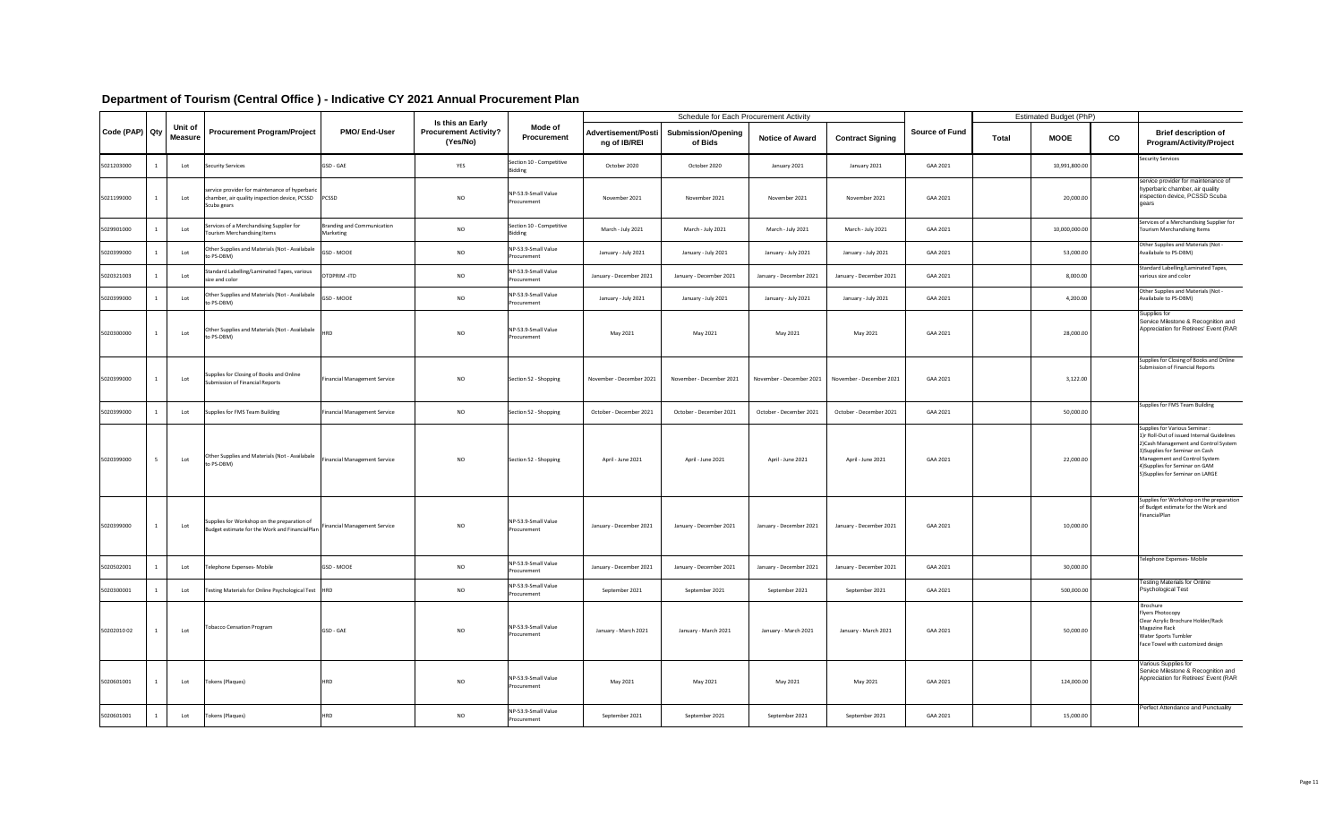|                |                           |                                                                                                                |                                         |                                                              |                                            |                                            | <b>Schedule for Each Procurement Activity</b> |                          |                          |                       | <b>Estimated Budget (PhP)</b> |    |                                                                                                                                                                                                                                                                       |
|----------------|---------------------------|----------------------------------------------------------------------------------------------------------------|-----------------------------------------|--------------------------------------------------------------|--------------------------------------------|--------------------------------------------|-----------------------------------------------|--------------------------|--------------------------|-----------------------|-------------------------------|----|-----------------------------------------------------------------------------------------------------------------------------------------------------------------------------------------------------------------------------------------------------------------------|
| Code (PAP) Qty | Unit of<br><b>Measure</b> | <b>Procurement Program/Project</b>                                                                             | <b>PMO/End-User</b>                     | Is this an Early<br><b>Procurement Activity?</b><br>(Yes/No) | Mode of<br><b>Procurement</b>              | <b>Advertisement/Posti</b><br>ng of IB/REI | <b>Submission/Opening</b><br>of Bids          | <b>Notice of Award</b>   | <b>Contract Signing</b>  | <b>Source of Fund</b> | <b>MOOE</b><br><b>Total</b>   | CO | <b>Brief description of</b><br><b>Program/Activity/Project</b>                                                                                                                                                                                                        |
| 5021203000     | Lot                       | <b>Security Services</b>                                                                                       | GSD - GAE                               | YES                                                          | Section 10 - Competitive<br><b>Bidding</b> | October 2020                               | October 2020                                  | January 2021             | January 2021             | GAA 2021              | 10,991,800.00                 |    | <b>Security Services</b>                                                                                                                                                                                                                                              |
| 5021199000     | Lot                       | service provider for maintenance of hyperbaric<br>chamber, air quality inspection device, PCSSD<br>Scuba gears | PCSSD                                   | <b>NO</b>                                                    | NP-53.9-Small Value<br>Procurement         | November 2021                              | November 2021                                 | November 2021            | November 2021            | GAA 2021              | 20,000.00                     |    | service provider for maintenance of<br>hyperbaric chamber, air quality<br>inspection device, PCSSD Scuba<br>gears                                                                                                                                                     |
| 5029901000     | Lot                       | Services of a Merchandising Supplier for<br>Tourism Merchandising Items                                        | Branding and Communication<br>Marketing | <b>NO</b>                                                    | Section 10 - Competitive<br><b>Bidding</b> | March - July 2021                          | March - July 2021                             | March - July 2021        | March - July 2021        | GAA 2021              | 10,000,000.00                 |    | Services of a Merchandising Supplier for<br>Tourism Merchandising Items                                                                                                                                                                                               |
| 5020399000     | Lot                       | Other Supplies and Materials (Not - Availabale<br>to PS-DBM)                                                   | GSD - MOOE                              | <b>NO</b>                                                    | NP-53.9-Small Value<br>Procurement         | January - July 2021                        | January - July 2021                           | January - July 2021      | January - July 2021      | GAA 2021              | 53,000.00                     |    | Other Supplies and Materials (Not -<br>Availabale to PS-DBM)                                                                                                                                                                                                          |
| 5020321003     | Lot                       | Standard Labelling/Laminated Tapes, various<br>size and color                                                  | OTDPRIM-ITD                             | <b>NO</b>                                                    | NP-53.9-Small Value<br>Procurement         | January - December 2021                    | January - December 2021                       | January - December 2021  | January - December 2021  | GAA 2021              | 8,000.00                      |    | Standard Labelling/Laminated Tapes,<br>various size and color                                                                                                                                                                                                         |
| 5020399000     | Lot                       | Other Supplies and Materials (Not - Availabale<br>to PS-DBM)                                                   | GSD - MOOE                              | <b>NO</b>                                                    | NP-53.9-Small Value<br>Procurement         | January - July 2021                        | January - July 2021                           | January - July 2021      | January - July 2021      | GAA 2021              | 4,200.00                      |    | Other Supplies and Materials (Not -<br>Availabale to PS-DBM)                                                                                                                                                                                                          |
| 5020300000     | Lot                       | Other Supplies and Materials (Not - Availabale<br>to PS-DBM)                                                   | <b>HRD</b>                              | <b>NO</b>                                                    | NP-53.9-Small Value<br>Procurement         | May 2021                                   | May 2021                                      | May 2021                 | May 2021                 | GAA 2021              | 28,000.00                     |    | Supplies for<br>Service Milestone & Recognition and<br>Appreciation for Retirees' Event (RAR                                                                                                                                                                          |
| 5020399000     | Lot                       | Supplies for Closing of Books and Online<br>Submission of Financial Reports                                    | Financial Management Service            | <b>NO</b>                                                    | Section 52 - Shopping                      | November - December 2021                   | November - December 2021                      | November - December 2021 | November - December 2021 | GAA 2021              | 3,122.00                      |    | Supplies for Closing of Books and Online<br>Submission of Financial Reports                                                                                                                                                                                           |
| 5020399000     | Lot                       | Supplies for FMS Team Building                                                                                 | <b>Financial Management Service</b>     | <b>NO</b>                                                    | Section 52 - Shopping                      | October - December 2021                    | October - December 2021                       | October - December 2021  | October - December 2021  | GAA 2021              | 50,000.00                     |    | Supplies for FMS Team Building                                                                                                                                                                                                                                        |
| 5020399000     | Lot                       | Other Supplies and Materials (Not - Availabale<br>to PS-DBM)                                                   | Financial Management Service            | <b>NO</b>                                                    | Section 52 - Shopping                      | April - June 2021                          | April - June 2021                             | April - June 2021        | April - June 2021        | GAA 2021              | 22,000.00                     |    | <b>Supplies for Various Seminar:</b><br>1)r Roll-Out of issued Internal Guidelines<br>2) Cash Management and Control System<br>3) Supplies for Seminar on Cash<br>Management and Control System<br>4) Supplies for Seminar on GAM<br>5) Supplies for Seminar on LARGE |
| 5020399000     | Lot                       | Supplies for Workshop on the preparation of<br>Budget estimate for the Work and FinancialPlan                  | Financial Management Service            | <b>NO</b>                                                    | NP-53.9-Small Value<br>Procurement         | January - December 2021                    | January - December 2021                       | January - December 2021  | January - December 2021  | GAA 2021              | 10,000.00                     |    | Supplies for Workshop on the preparation<br>of Budget estimate for the Work and<br>FinancialPlan                                                                                                                                                                      |
| 5020502001     | Lot                       | Telephone Expenses- Mobile                                                                                     | GSD - MOOE                              | <b>NO</b>                                                    | NP-53.9-Small Value<br>Procurement         | January - December 2021                    | January - December 2021                       | January - December 2021  | January - December 2021  | GAA 2021              | 30,000.00                     |    | Telephone Expenses- Mobile                                                                                                                                                                                                                                            |
| 5020300001     | Lot                       | Testing Materials for Online Psychological Test   HRD                                                          |                                         | <b>NO</b>                                                    | NP-53.9-Small Value<br>Procurement         | September 2021                             | September 2021                                | September 2021           | September 2021           | GAA 2021              | 500,000.00                    |    | Testing Materials for Online<br><b>Psychological Test</b>                                                                                                                                                                                                             |
| 5020201002     | Lot                       | <b>Tobacco Censation Program</b>                                                                               | GSD - GAE                               | <b>NO</b>                                                    | NP-53.9-Small Value<br>Procurement         | January - March 2021                       | January - March 2021                          | January - March 2021     | January - March 2021     | GAA 2021              | 50,000.00                     |    | Brochure<br><b>Flyers Photocopy</b><br>Clear Acrylic Brochure Holder/Rack<br>Magazine Rack<br><b>Water Sports Tumbler</b><br>Face Towel with customized design                                                                                                        |
| 5020601001     | Lot                       | Tokens (Plaques)                                                                                               | <b>HRD</b>                              | <b>NO</b>                                                    | NP-53.9-Small Value<br>Procurement         | May 2021                                   | May 2021                                      | May 2021                 | May 2021                 | GAA 2021              | 124,000.00                    |    | Various Supplies for<br>Service Milestone & Recognition and<br>Appreciation for Retirees' Event (RAR                                                                                                                                                                  |
| 5020601001     | Lot                       | Tokens (Plaques)                                                                                               | <b>HRD</b>                              | <b>NO</b>                                                    | NP-53.9-Small Value<br>Procurement         | September 2021                             | September 2021                                | September 2021           | September 2021           | GAA 2021              | 15,000.00                     |    | Perfect Attendance and Punctuality                                                                                                                                                                                                                                    |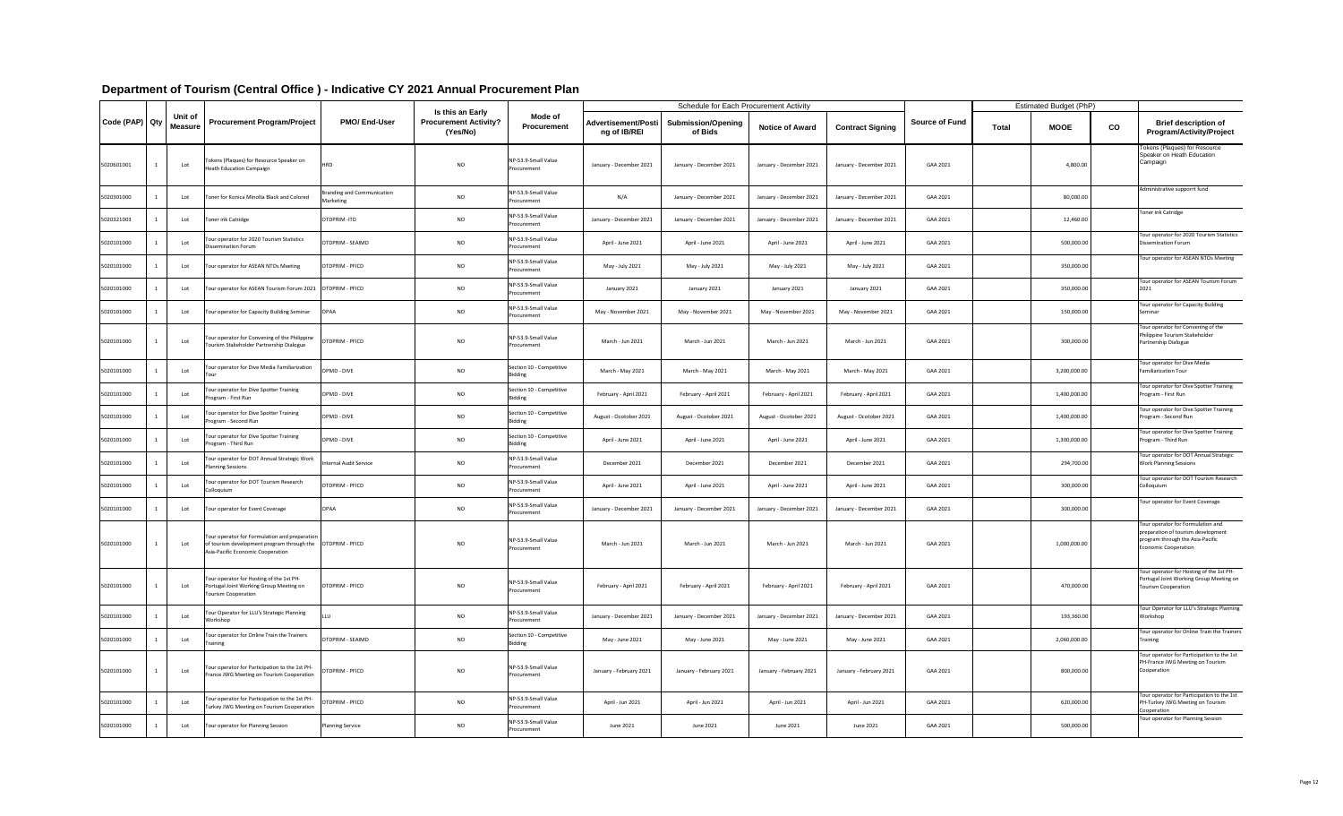|                |                           |                                                                                                                                                    |                                                |                                                                     |                                            |                                            | <b>Schedule for Each Procurement Activity</b> |                         |                         |                       |              | <b>Estimated Budget (PhP)</b> |               |                                                                                                                                     |
|----------------|---------------------------|----------------------------------------------------------------------------------------------------------------------------------------------------|------------------------------------------------|---------------------------------------------------------------------|--------------------------------------------|--------------------------------------------|-----------------------------------------------|-------------------------|-------------------------|-----------------------|--------------|-------------------------------|---------------|-------------------------------------------------------------------------------------------------------------------------------------|
| Code (PAP) Qty | Unit of<br><b>Measure</b> | <b>Procurement Program/Project</b>                                                                                                                 | <b>PMO/End-User</b>                            | <b>Is this an Early</b><br><b>Procurement Activity?</b><br>(Yes/No) | Mode of<br><b>Procurement</b>              | <b>Advertisement/Posti</b><br>ng of IB/REI | <b>Submission/Opening</b><br>of Bids          | <b>Notice of Award</b>  | <b>Contract Signing</b> | <b>Source of Fund</b> | <b>Total</b> | <b>MOOE</b>                   | $\mathbf{CO}$ | <b>Brief description of</b><br><b>Program/Activity/Project</b>                                                                      |
| 5020601001     | Lot                       | Tokens (Plaques) for Resource Speaker on<br><b>Heath Education Campaign</b>                                                                        | <b>HRD</b>                                     | <b>NO</b>                                                           | NP-53.9-Small Value<br>Procurement         | January - December 2021                    | January - December 2021                       | January - December 2021 | January - December 2021 | GAA 2021              |              | 4,800.00                      |               | Tokens (Plaques) for Resource<br>Speaker on Heath Education<br>Campaign                                                             |
| 5020301000     | Lot                       | Toner for Konica Minolta Black and Colored                                                                                                         | <b>Branding and Communication</b><br>Marketing | <b>NO</b>                                                           | NP-53.9-Small Value<br>Procurement         | N/A                                        | January - December 2021                       | January - December 202: | January - December 2021 | GAA 2021              |              | 80,000.00                     |               | Administrative supporrt fund                                                                                                        |
| 5020321003     | Lot                       | Toner ink Catridge                                                                                                                                 | OTDPRIM-ITD                                    | <b>NO</b>                                                           | NP-53.9-Small Value<br>Procurement         | January - December 2021                    | January - December 2021                       | January - December 2021 | January - December 2021 | GAA 2021              |              | 12,460.00                     |               | Toner ink Catridge                                                                                                                  |
| 5020101000     | Lot                       | Tour operator for 2020 Tourism Statistics<br>Dissemination Forum                                                                                   | OTDPRIM - SEAIMD                               | <b>NO</b>                                                           | NP-53.9-Small Value<br>Procurement         | April - June 2021                          | April - June 2021                             | April - June 2021       | April - June 2021       | GAA 2021              |              | 500,000.00                    |               | Tour operator for 2020 Tourism Statistics<br>Dissemination Forum                                                                    |
| 5020101000     | Lot                       | Tour operator for ASEAN NTOs Meeting                                                                                                               | OTDPRIM - PFICD                                | <b>NO</b>                                                           | NP-53.9-Small Value<br>Procurement         | May - July 2021                            | May - July 2021                               | May - July 2021         | May - July 2021         | GAA 2021              |              | 350,000.00                    |               | Tour operator for ASEAN NTOs Meeting                                                                                                |
| 5020101000     | Lot                       | Tour operator for ASEAN Tourism Forum 2021   OTDPRIM - PFICD                                                                                       |                                                | <b>NO</b>                                                           | NP-53.9-Small Value<br>Procurement         | January 2021                               | January 2021                                  | January 2021            | January 2021            | GAA 2021              |              | 350,000.00                    |               | Tour operator for ASEAN Tourism Forum<br>2021                                                                                       |
| 5020101000     | Lot                       | Tour operator for Capacity Building Seminar                                                                                                        | <b>OPAA</b>                                    | <b>NO</b>                                                           | NP-53.9-Small Value<br>Procurement         | May - November 2021                        | May - November 2021                           | May - November 2021     | May - November 2021     | GAA 2021              |              | 150,000.00                    |               | Tour operator for Capacity Building<br>Seminar                                                                                      |
| 5020101000     | Lot                       | Tour operator for Convening of the Philippine  OTDPRIM - PFICD<br>Tourism Stakeholder Partnership Dialogue                                         |                                                | <b>NO</b>                                                           | NP-53.9-Small Value<br>Procurement         | March - Jun 2021                           | March - Jun 2021                              | March - Jun 2021        | March - Jun 2021        | GAA 2021              |              | 300,000.00                    |               | Tour operator for Convening of the<br>Philippine Tourism Stakeholder<br>Partnership Dialogue                                        |
| 5020101000     | Lot                       | Tour operator for Dive Media Familiarization<br>Tour                                                                                               | OPMD - DIVE                                    | <b>NO</b>                                                           | Section 10 - Competitive<br><b>Bidding</b> | March - May 2021                           | March - May 2021                              | March - May 2021        | March - May 2021        | GAA 2021              |              | 3,200,000.00                  |               | Tour operator for Dive Media<br><b>Familiarization Tour</b>                                                                         |
| 5020101000     | Lot                       | Tour operator for Dive Spotter Training<br>Program - First Run                                                                                     | OPMD - DIVE                                    | <b>NO</b>                                                           | Section 10 - Competitive<br><b>Bidding</b> | February - April 2021                      | February - April 2021                         | February - April 2021   | February - April 2021   | GAA 2021              |              | 1,400,000.00                  |               | Tour operator for Dive Spotter Training<br>Program - First Run                                                                      |
| 5020101000     | Lot                       | Tour operator for Dive Spotter Training<br>Program - Second Run                                                                                    | OPMD - DIVE                                    | <b>NO</b>                                                           | Section 10 - Competitive<br><b>Bidding</b> | August - Ocotober 2021                     | August - Ocotober 2021                        | August - Ocotober 2021  | August - Ocotober 2021  | GAA 2021              |              | 1,400,000.00                  |               | Tour operator for Dive Spotter Training<br>Program - Second Run                                                                     |
| 5020101000     | Lot                       | Tour operator for Dive Spotter Training<br>Program - Third Run                                                                                     | OPMD - DIVE                                    | <b>NO</b>                                                           | Section 10 - Competitive<br><b>Bidding</b> | April - June 2021                          | April - June 2021                             | April - June 2021       | April - June 2021       | GAA 2021              |              | 1,300,000.00                  |               | Tour operator for Dive Spotter Training<br>Program - Third Run                                                                      |
| 5020101000     | Lot                       | Tour operator for DOT Annual Strategic Work<br><b>Planning Sessions</b>                                                                            | <b>Internal Audit Service</b>                  | <b>NO</b>                                                           | NP-53.9-Small Value<br>Procurement         | December 2021                              | December 2021                                 | December 2021           | December 2021           | GAA 2021              |              | 294,700.00                    |               | Tour operator for DOT Annual Strategic<br><b>Work Planning Sessions</b>                                                             |
| 5020101000     | Lot                       | Tour operator for DOT Tourism Research<br>Colloquium                                                                                               | OTDPRIM - PFICD                                | <b>NO</b>                                                           | NP-53.9-Small Value<br>Procurement         | April - June 2021                          | April - June 2021                             | April - June 2021       | April - June 2021       | GAA 2021              |              | 300,000.00                    |               | Tour operator for DOT Tourism Research<br>Colloquium                                                                                |
| 5020101000     | Lot                       | Tour operator for Event Coverage                                                                                                                   | <b>OPAA</b>                                    | <b>NO</b>                                                           | NP-53.9-Small Value<br>Procurement         | January - December 2021                    | January - December 2021                       | January - December 2021 | January - December 2021 | GAA 2021              |              | 300,000.00                    |               | Tour operator for Event Coverage                                                                                                    |
| 5020101000     | Lot                       | Tour operator for Formulation and preparation<br>of tourism development program through the   OTDPRIM - PFICD<br>Asia-Pacific Economic Cooperation |                                                | <b>NO</b>                                                           | NP-53.9-Small Value<br>Procurement         | March - Jun 2021                           | March - Jun 2021                              | March - Jun 2021        | March - Jun 2021        | GAA 2021              |              | 1,000,000.00                  |               | Tour operator for Formulation and<br>preparation of tourism development<br>program through the Asia-Pacific<br>Economic Cooperation |
| 5020101000     | Lot                       | Tour operator for Hosting of the 1st PH-<br>Portugal Joint Working Group Meeting on<br><b>Tourism Cooperation</b>                                  | OTDPRIM - PFICD                                | <b>NO</b>                                                           | NP-53.9-Small Value<br>Procurement         | February - April 2021                      | February - April 2021                         | February - April 2021   | February - April 2021   | GAA 2021              |              | 470,000.00                    |               | Tour operator for Hosting of the 1st PH-<br>Portugal Joint Working Group Meeting on<br>Tourism Cooperation                          |
| 5020101000     | Lot                       | Tour Operator for LLU's Strategic Planning<br>Workshop                                                                                             |                                                | <b>NO</b>                                                           | NP-53.9-Small Value<br>Procurement         | January - December 2021                    | January - December 2021                       | January - December 2021 | January - December 2021 | GAA 2021              |              | 193,360.00                    |               | Tour Operator for LLU's Strategic Planning<br>Workshop                                                                              |
| 5020101000     | Lot                       | Tour operator for Online Train the Trainers<br>Training                                                                                            | OTDPRIM - SEAIMD                               | <b>NO</b>                                                           | Section 10 - Competitive<br>Bidding        | May - June 2021                            | May - June 2021                               | May - June 2021         | May - June 2021         | GAA 2021              |              | 2,060,000.00                  |               | Tour operator for Online Train the Trainers<br>Training                                                                             |
| 5020101000     | Lot                       | Tour operator for Participation to the 1st PH-<br>France JWG Meeting on Tourism Cooperation                                                        | OTDPRIM - PFICD                                | <b>NO</b>                                                           | NP-53.9-Small Value<br>Procurement         | January - February 2021                    | January - February 2021                       | January - February 2021 | January - February 2021 | GAA 2021              |              | 800,000.00                    |               | Tour operator for Participation to the 1st<br>PH-France JWG Meeting on Tourism<br>Cooperation                                       |
| 5020101000     | Lot                       | Tour operator for Participation to the 1st PH-<br>Turkey JWG Meeting on Tourism Cooperation                                                        | OTDPRIM - PFICD                                | <b>NO</b>                                                           | NP-53.9-Small Value<br>Procurement         | April - Jun 2021                           | April - Jun 2021                              | April - Jun 2021        | April - Jun 2021        | GAA 2021              |              | 620,000.00                    |               | Tour operator for Participation to the 1st<br><b>PH-Turkey JWG Meeting on Tourism</b><br>Cooperation                                |
| 5020101000     | Lot                       | Tour operator for Planning Session                                                                                                                 | <b>Planning Service</b>                        | <b>NO</b>                                                           | NP-53.9-Small Value<br>Procurement         | June 2021                                  | June 2021                                     | June 2021               | June 2021               | GAA 2021              |              | 500,000.00                    |               | Tour operator for Planning Session                                                                                                  |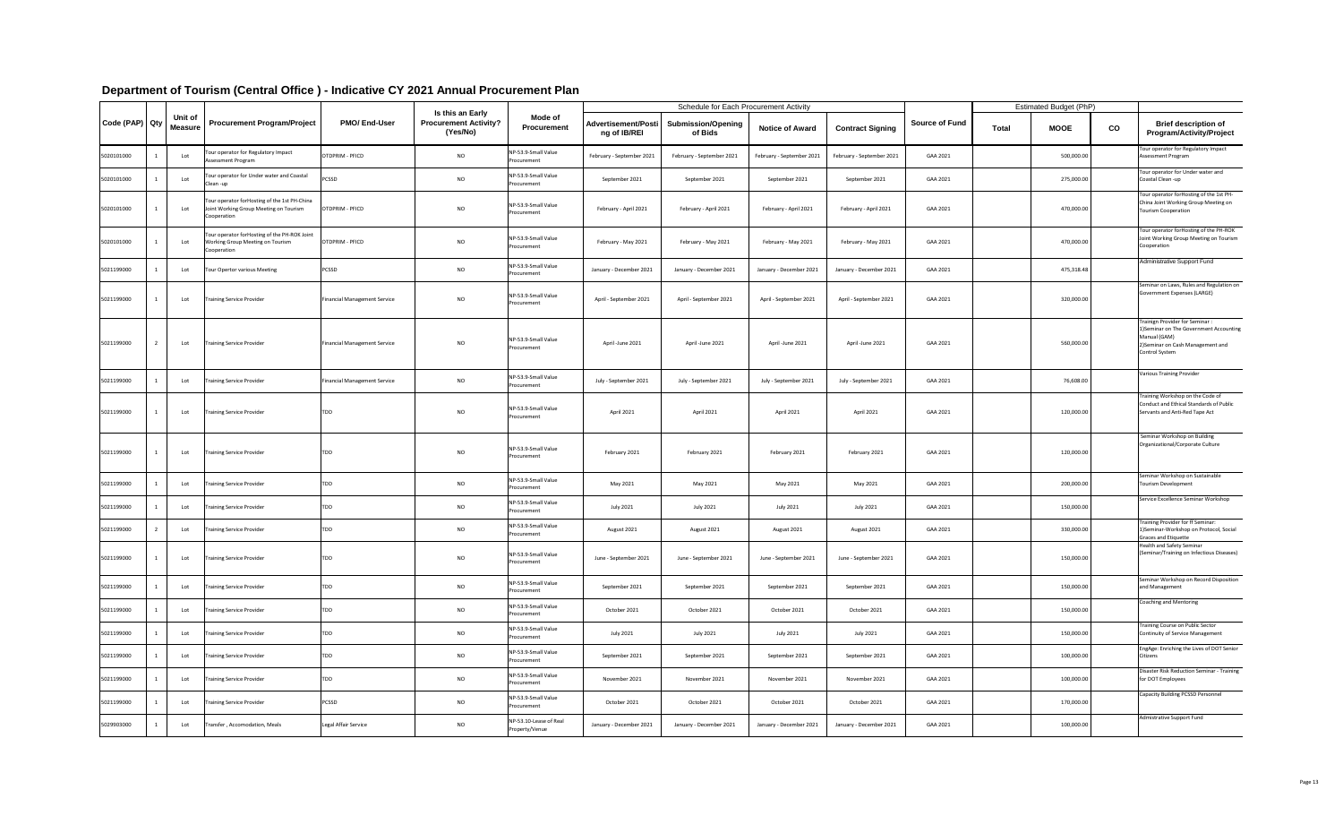| Department of Tourism (Central Office) - Indicative CY 2021 Annual |  |  |  |
|--------------------------------------------------------------------|--|--|--|
|--------------------------------------------------------------------|--|--|--|

| Code (PAP) Qty |                           | <b>Procurement Program/Project</b>                                                                     | <b>PMO/End-User</b>                 | Is this an Early<br><b>Procurement Activity?</b><br>(Yes/No) | <b>Mode of</b><br><b>Procurement</b>     | <b>Schedule for Each Procurement Activity</b> |                                      |                           |                           | <b>Estimated Budget (PhP)</b> |              |             |    |                                                                                                                                                   |
|----------------|---------------------------|--------------------------------------------------------------------------------------------------------|-------------------------------------|--------------------------------------------------------------|------------------------------------------|-----------------------------------------------|--------------------------------------|---------------------------|---------------------------|-------------------------------|--------------|-------------|----|---------------------------------------------------------------------------------------------------------------------------------------------------|
|                | Unit of<br><b>Measure</b> |                                                                                                        |                                     |                                                              |                                          | <b>Advertisement/Posti</b><br>ng of IB/REI    | <b>Submission/Opening</b><br>of Bids | <b>Notice of Award</b>    | <b>Contract Signing</b>   | <b>Source of Fund</b>         | <b>Total</b> | <b>MOOE</b> | CO | <b>Brief description of</b><br><b>Program/Activity/Project</b>                                                                                    |
| 5020101000     | Lot                       | Tour operator for Regulatory Impact<br>Assessment Program                                              | <b>IOTDPRIM - PFICD</b>             | <b>NO</b>                                                    | NP-53.9-Small Value<br>Procurement       | February - September 2021                     | February - September 2021            | February - September 2021 | February - September 2021 | GAA 2021                      |              | 500,000.00  |    | Tour operator for Regulatory Impact<br><b>Assessment Program</b>                                                                                  |
| 5020101000     | Lot                       | Tour operator for Under water and Coastal<br>Clean-up                                                  | <b>PCSSD</b>                        | <b>NO</b>                                                    | NP-53.9-Small Value<br>Procurement       | September 2021                                | September 2021                       | September 2021            | September 2021            | GAA 2021                      |              | 275,000.00  |    | Tour operator for Under water and<br>Coastal Clean -up                                                                                            |
| 5020101000     | Lot                       | Tour operator forHosting of the 1st PH-China<br>Joint Working Group Meeting on Tourism<br>Cooperation  | OTDPRIM - PFICD                     | <b>NO</b>                                                    | NP-53.9-Small Value<br>Procurement       | February - April 2021                         | February - April 2021                | February - April 2021     | February - April 2021     | GAA 2021                      |              | 470,000.00  |    | Tour operator forHosting of the 1st PH-<br>China Joint Working Group Meeting on<br><b>Tourism Cooperation</b>                                     |
| 5020101000     | Lot                       | Tour operator forHosting of the PH-ROK Joint<br><b>Working Group Meeting on Tourism</b><br>Cooperation | OTDPRIM - PFICD                     | <b>NO</b>                                                    | NP-53.9-Small Value<br>Procurement       | February - May 2021                           | February - May 2021                  | February - May 2021       | February - May 2021       | GAA 2021                      |              | 470,000.00  |    | Tour operator forHosting of the PH-ROK<br>Joint Working Group Meeting on Tourism<br>Cooperation                                                   |
| 5021199000     | Lot                       | Tour Opertor various Meeting                                                                           | <b>PCSSD</b>                        | <b>NO</b>                                                    | NP-53.9-Small Value<br>Procurement       | January - December 2021                       | January - December 2021              | January - December 2021   | January - December 2021   | GAA 2021                      |              | 475,318.48  |    | Administrative Support Fund                                                                                                                       |
| 5021199000     | Lot                       | <b>Training Service Provider</b>                                                                       | <b>Financial Management Service</b> | <b>NO</b>                                                    | NP-53.9-Small Value<br>Procurement       | April - September 2021                        | April - September 2021               | April - September 2021    | April - September 2021    | GAA 2021                      |              | 320,000.00  |    | Seminar on Laws, Rules and Regulation on<br>Government Expenses (LARGE)                                                                           |
| 5021199000     | Lot                       | Training Service Provider                                                                              | Financial Management Service        | <b>NO</b>                                                    | NP-53.9-Small Value<br>Procurement       | April -June 2021                              | April -June 2021                     | April -June 2021          | April -June 2021          | GAA 2021                      |              | 560,000.00  |    | Trainign Provider for Seminar :<br>1) Seminar on The Government Accounting<br>Manual (GAM)<br>2) Seminar on Cash Management and<br>Control System |
| 5021199000     | Lot                       | Training Service Provider                                                                              | Financial Management Service        | <b>NO</b>                                                    | NP-53.9-Small Value<br>Procurement       | July - September 2021                         | July - September 2021                | July - September 2021     | July - September 2021     | GAA 2021                      |              | 76,608.00   |    | Various Training Provider                                                                                                                         |
| 5021199000     | Lot                       | <b>Training Service Provider</b>                                                                       | TDD                                 | <b>NO</b>                                                    | NP-53.9-Small Value<br>Procurement       | April 2021                                    | April 2021                           | April 2021                | April 2021                | GAA 2021                      |              | 120,000.00  |    | Training Workshop on the Code of<br>Conduct and Ethical Standards of Public<br>Servants and Anti-Red Tape Act                                     |
| 5021199000     | Lot                       | Training Service Provider                                                                              | TDD                                 | <b>NO</b>                                                    | NP-53.9-Small Value<br>Procurement       | February 2021                                 | February 2021                        | February 2021             | February 2021             | GAA 2021                      |              | 120,000.00  |    | Seminar Workshop on Building<br>Organizational/Corporate Culture                                                                                  |
| 5021199000     | Lot                       | Training Service Provider                                                                              | TDD                                 | <b>NO</b>                                                    | NP-53.9-Small Value<br>Procurement       | May 2021                                      | May 2021                             | May 2021                  | May 2021                  | GAA 2021                      |              | 200,000.00  |    | Seminar Workshop on Sustainable<br>Tourism Development                                                                                            |
| 5021199000     | Lot                       | <b>Training Service Provider</b>                                                                       | TDD                                 | <b>NO</b>                                                    | NP-53.9-Small Value<br>Procurement       | July 2021                                     | July 2021                            | July 2021                 | July 2021                 | GAA 2021                      |              | 150,000.00  |    | Service Excellence Seminar Workshop                                                                                                               |
| 5021199000     | Lot                       | <b>Training Service Provider</b>                                                                       | TDD                                 | <b>NO</b>                                                    | NP-53.9-Small Value<br>Procurement       | August 2021                                   | August 2021                          | August 2021               | August 2021               | GAA 2021                      |              | 330,000.00  |    | Training Provider for ff Seminar:<br>1) Seminar-Workshop on Protocol, Social<br><b>Graces and Etiquette</b>                                       |
| 5021199000     | Lot                       | <b>Training Service Provider</b>                                                                       | <b>TDD</b>                          | <b>NO</b>                                                    | NP-53.9-Small Value<br>Procurement       | June - September 2021                         | June - September 2021                | June - September 2021     | June - September 2021     | GAA 2021                      |              | 150,000.00  |    | <b>Health and Safety Seminar</b><br>(Seminar/Training on Infectious Diseases)                                                                     |
| 5021199000     | Lot                       | <b>Training Service Provider</b>                                                                       | TDD                                 | <b>NO</b>                                                    | NP-53.9-Small Value<br>Procurement       | September 2021                                | September 2021                       | September 2021            | September 2021            | GAA 2021                      |              | 150,000.00  |    | Seminar Workshop on Record Disposition<br>and Management                                                                                          |
| 5021199000     | Lot                       | <b>Training Service Provider</b>                                                                       | TDD                                 | <b>NO</b>                                                    | NP-53.9-Small Value<br>Procurement       | October 2021                                  | October 2021                         | October 2021              | October 2021              | GAA 2021                      |              | 150,000.00  |    | Coaching and Mentoring                                                                                                                            |
| 5021199000     | Lot                       | <b>Training Service Provider</b>                                                                       | TDD                                 | <b>NO</b>                                                    | NP-53.9-Small Value<br>Procurement       | <b>July 2021</b>                              | July 2021                            | July 2021                 | July 2021                 | GAA 2021                      |              | 150,000.00  |    | Training Course on Public Sector<br>Continuity of Service Management                                                                              |
| 5021199000     | Lot                       | <b>Training Service Provider</b>                                                                       | TDD                                 | <b>NO</b>                                                    | NP-53.9-Small Value<br>Procurement       | September 2021                                | September 2021                       | September 2021            | September 2021            | GAA 2021                      |              | 100,000.00  |    | EngAge: Enriching the Lives of DOT Senior<br><b>Citizens</b>                                                                                      |
| 5021199000     | Lot                       | Training Service Provider                                                                              | TDD                                 | <b>NO</b>                                                    | NP-53.9-Small Value<br>Procurement       | November 2021                                 | November 2021                        | November 2021             | November 2021             | GAA 2021                      |              | 100,000.00  |    | Disaster Risk Reduction Seminar - Training<br>for DOT Employees                                                                                   |
| 5021199000     | Lot                       | Training Service Provider                                                                              | <b>PCSSD</b>                        | <b>NO</b>                                                    | NP-53.9-Small Value<br>Procurement       | October 2021                                  | October 2021                         | October 2021              | October 2021              | GAA 2021                      |              | 170,000.00  |    | Capacity Building PCSSD Personnel                                                                                                                 |
| 5029903000     | Lot                       | Transfer, Accomodation, Meals                                                                          | Legal Affair Service                | <b>NO</b>                                                    | NP-53.10-Lease of Real<br>Property/Venue | January - December 2021                       | January - December 2021              | January - December 2021   | January - December 2021   | GAA 2021                      |              | 100,000.00  |    | Admistrative Support Fund                                                                                                                         |

### **Department Plan**